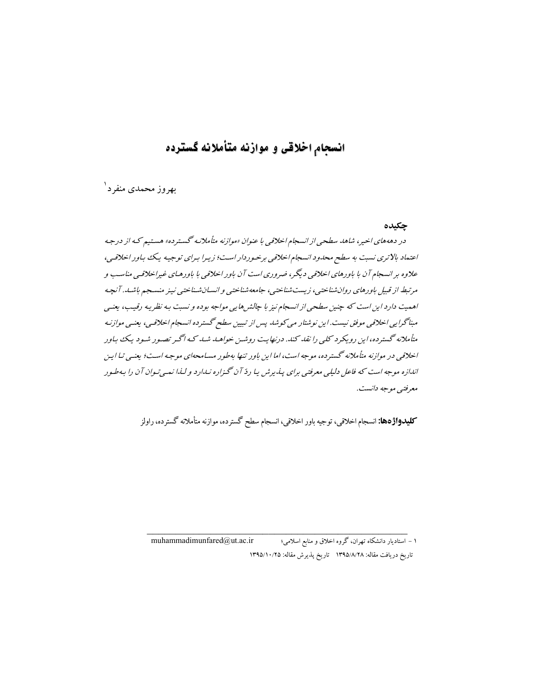## انسحام اخلاقي و موازنه متأملانه گسترده

پهروز محمدي منفرد ۱

چکیده

در دهههای اخیر، شاهد سطحی از انسجام اخلاقی با عنوان «موازنه متأملانه گسترده» هستیم که از درجه اعتماد بالاتری نسبت به سطح محدود انسجام اخلاقی برخوردار است؛ زیرا برای توجیه یک باور اخلاقی، علاوه بر انسجام آن با باورهای اخلاقی دیگر، ضروری است آن باور اخلاقی با باورهـای غیراخلاقـی مناسـب و مرتبط از قبیل باورهای روان شناختبی، زیست شناختبی، جامعه شناختبی و انسپان شناختبی نینر منسجم باشید. آنچه اهمیت دارد این است که چنین سطحی از انسجام نیز با جالش ها پی مواجه بوده و نسبت به نظر به رقیب، یعنبی مبناگرایی اخلاقی موفق نیست. این نوشتار می کوشد پس از تبیین سطح گستر ده انسجام اخلاقی، بعنبی موازنی*ه* متأملانه گسترده،این رویکرد کلبی را نقد کند. درنهایت روشین خواهید شد که اگیر تصبور شیود یک باور اخلاقی در موازنه متأملانه گسترده، موجه است، اما این باور تنها به طور مسامحهای موجه است؛ بعنبی تیا این اندازه موجه است که فاعل دلیلی معرفتی برای پیدیرش یا ردّ آن گیزاره نیدارد و لیذا نیمی تیوان آن را به طیور معرفتي موجه دانست.

**کلیدواژهها:** انسجام اخلاقی، توجیه باور اخلاقی، انسجام سطح گسترده، موازنه متأملانه گسترده، راولز

۱ – استادیار دانشکاه تهران، گروه اخلاق و منابع اسلامی؛ muhammadimunfared@ut.ac.ir تاريخ دريافت مقاله: ١٣٩٥/٨/٢٨ تاريخ پذيرش مقاله: ١٣٩٥/١٠/٢٥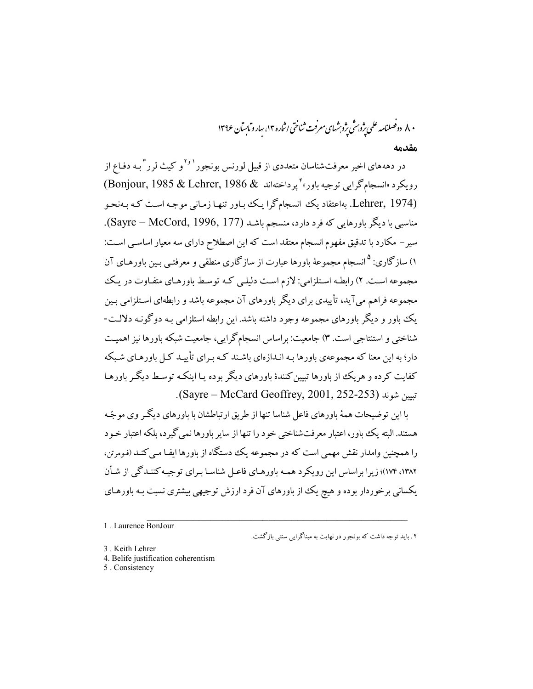۸۰ دوصلنامه علمی ژوبرش ژوېشهای معرفت ثناختی اثباره ۱۳، سار و مایسآن ۱۳۹۶ مقدمه

در دهههای اخیر معرفتشناسان متعددی از قبیل لورنس بونجور<sup>۱٫۱</sup>و کیث لرر<sup>۳</sup>بـه دفـاع از رويكرد «انسجام گرايبي توجيه باور» " پرداختهاند & 1986 Bonjour, 1985) (Bonjour, 1985) (Lehrer, 1974. بهاعتقاد یک انسجامگرا یک بـاور تنهـا زمـانی موجـه اسـت کـه بـهنحـو مناسبی با دیگر باورهایی که فرد دارد، منسجم باشـد (Sayre – McCord, 1996, 177). سیر – مکارد با تدقیق مفهوم انسجام معتقد است که این اصطلاح دارای سه معیار اساسبی اسـت: ۱) سازگاری: <sup>۵</sup> انسجام مجموعهٔ باورها عبارت از سازگاری منطقی و معرفتـی بـین باورهـای آن مجموعه است. ۲) رابطـه اسـتلزامي: لازم اسـت دليلـي كـه توسـط باورهـاي متفـاوت در يـك مجموعه فراهم می آید، تأییدی برای دیگر باورهای آن مجموعه باشد و رابطهای استلزامی بـین یک باور و دیگر باورهای مجموعه وجود داشته باشد. این رابطه استلزامی بـه دوگونـه دلالـت-شناختی و استنتاجی است. ۳) جامعیت: براساس انسجام گرایی، جامعیت شبکه باورها نیز اهمیت دار؛ به این معنا که مجموعهی باورها به انبدازهای باشند کـه بـرای تأییـد کـل باورهـای شـیکه کفایت کرده و هریک از پاورها تبین کنندهٔ باورهای دیگر بوده با اینکـه توسـط دیگـر باورهـا تسين شوند (Sayre – McCard Geoffrey, 2001, 252-253).

با این توضیحات همهٔ باورهای فاعل شناسا تنها از طریق ارتباطشان با باورهای دیگ وی موجّه هستند. البته یک باور، اعتبار معرفتشناختی خود را تنها از سایر باورها نمی گیرد، بلکه اعتبار خـود را همچنین وامدار نقش مهمی است که در مجموعه یک دستگاه از پاورها ایف مبی کنید (فومرتن، ۱۳۸۲، ۱۷۴)؛ زیرا پراساس این رویکرد همیه ماورهبای فاعیل شناسیا سرای توجیه کننیدگی از شبأن .<br>یکسانی برخوردار بوده و هیچ یک از باورهای آن فرد ارزش توجیهی بیشتری نسبت بـه باورهـای

۲ . باید توجه داشت که بونجور در نهایت به مبناگرایی سنتی بازگشت.

- 3. Keith Lehrer
- 4. Belife justification coherentism
- 5. Consistency

<sup>1.</sup> Laurence BonJour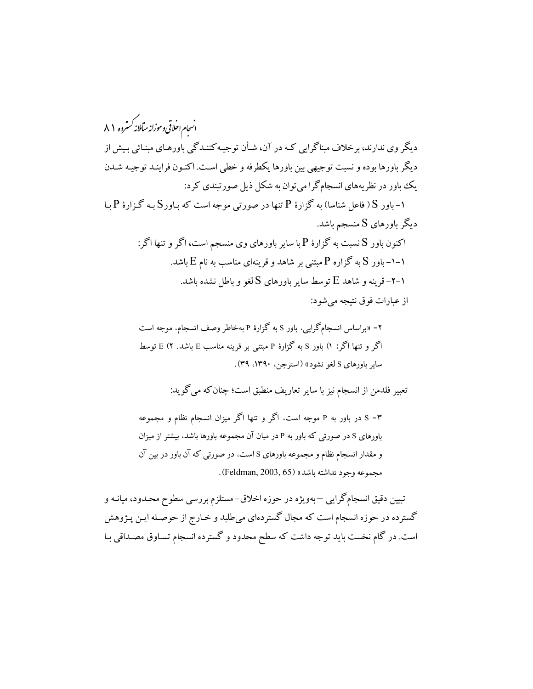.<br>انسحام احلاقی وموزانه میآملانه *کستر*ده ۸۱ دیگر وی ندارند، برخلاف مبناگرایی کـه در آن، شـأن توجیـهکننـدگی باورهـای مبنـائی بـیش از ديگر باورها بوده و نسبت توجيهي بين باورها يكطرفه و خطى است. اكنـون فراينـد توجيـه شـدن یک باور در نظریههای انسجامگرا می توان به شکل ذیل صورتبندی کرد: ا– باور S ( فاعل شناسا) به گزارهٔ P تنها در صورتی موجه است که بـاورS بـه گـزارهٔ P بـا دیگر باورهای S منسجم باشد. اکنون باور S نسبت به گزارهٔ P با سایر باورهای وی منسجم است، اگر و تنها اگر: ۱–۱– باور S به گزاره P مبتنی بر شاهد و قرینهای مناسب به نام E باشد. -۲–۲ قرینه و شاهد  $\mathrm{E}$  توسط سایر باورهای S لغو و باطل نشده باشد. از عبارات فوق نتيجه مي شود:

> ۲- «براساس انسجامگرایی، باور S به گزارهٔ P بهخاطر وصف انسجام، موجه است اگر و تنها اگر: ۱) باور S به گزارهٔ P مبتنی بر قرینه مناسب E باشد. ۲) توسط سایر باورهای S لغو نشود» (استرجن، ۱۳۹۰، ۳۹).

> > تعبير فلدمن از انسجام نيز با ساير تعاريف منطبق است؛ چنان كه مي گويد:

۳- S در باور به P موجه است، اگر و تنها اگر میزان انسجام نظام و مجموعه باورهای S در صورتی که باور به P در میان آن مجموعه باورها باشد، بیشتر از میزان و مقدار انسجام نظام و مجموعه باورهای S است، در صورتی که آن باور در بین آن مجموعه وجود نداشته باشد» (Feldman, 2003, 65).

تبیین دقیق انسجامگرایی —بهویژه در حوزه اخلاق–مستلزم بررسی سطوح محـدود، میانـه و گسترده در حوزه انسجام است که مجال گستردهای میطلبد و خـارج از حوصـله ایـن پـژوهش است. در گام نخست باید توجه داشت که سطح محدود و گسترده انسجام تسـاوق مصـداقی بـا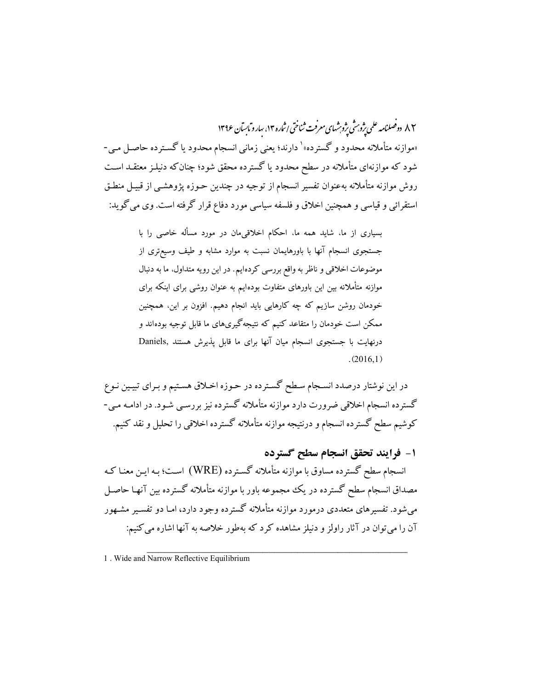۸۲ دوصینامه علمی یژوب ش یژوبشهای معرفت ثناختی اثباره ۱۳، سارو ماسان ۱۳۹۶ «موازنه متأملانه محدود و گسترده»<sup>\</sup> دارند؛ یعنی زمانی انسجام محدود یا گسـترده حاصـل مـی-شود که موازنهای متأملانه در سطح محدود یا گسترده محقق شود؛ چنان که دنیلـز معتقــد اســت روش موازنه متأملانه بهعنوان تفسير انسجام از توجيه در چندين حـوزه يژوهشـي از قبيـل منطـق استقرائی و قیاسی و همچنین اخلاق و فلسفه سیاسی مورد دفاع قرار گرفته است. وی می گوید:

> بسیاری از ما، شاید همه ما، احکام اخلاقیمان در مورد مسأله خاصی را با .<br>جستجوی انسجام آنها با باورهایمان نسبت به موارد مشابه و طیف وسیعتری از موضوعات اخلاقی و ناظر به واقع بررسی کردهایم. در این رویه متداول، ما به دنبال موازنه متأملانه بین این باورهای متفاوت بودهایم به عنوان روشی برای اینکه برای خودمان روشن سازیم که چه کارهایی باید انجام دهیم. افزون بر این، همچنین ممکن است خودمان را متقاعد کنیم که نتیجهگیریهای ما قابل توجیه بودهاند و درنهایت با جستجوی انسجام میان آنها برای ما قابل پذیرش هستند ,Daniels  $(2016.1)$

در این نوشتار درصدد انسـجام سـطح گسـترده در حـوزه اخـلاق هسـتیم و بـرای تبیـین نـوع گسترده انسجام اخلاقی ضرورت دارد موازنه متأملانه گسترده نیز بررسـی شـود. در ادامـه مـی-کوشیم سطح گسترده انسجام و درنتیجه موازنه متأملانه گسترده اخلاقی را تحلیل و نقد کنیم.

1- فرايند تحقق انسجام سطح گسترده انسجام سطح گسترده مساوق با موازنه متأملانه گسـترده (WRE) اسـت؛ بـه ايـن معنـا كـه مصداق انسجام سطح گسترده در یک مجموعه باور با موازنه متأملانه گسترده بین آنهـا حاصـل می شود. تفسیر های متعددی درمورد موازنه متأملانه گسترده وجود دارد، امـا دو تفسـیر مشـهور آن را می توان در آثار راولز و دنیلز مشاهده کرد که بهطور خلاصه به آنها اشاره می کنیم:

1. Wide and Narrow Reflective Equilibrium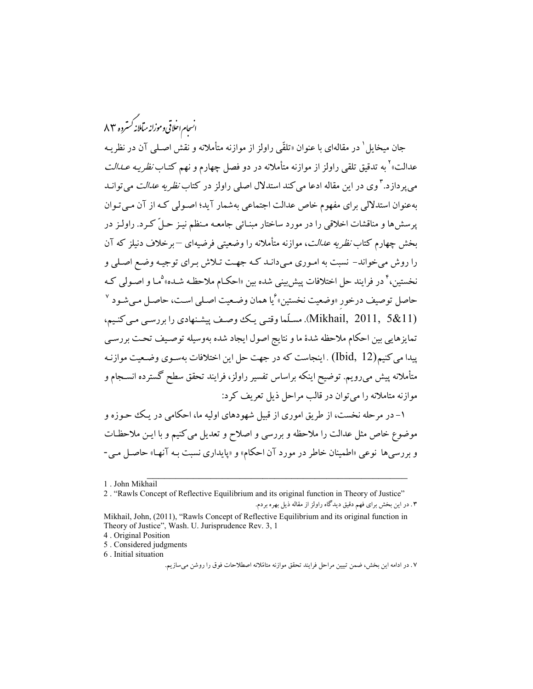.<br>انسحام احلاقی وموزانه میآملانه کسترده ۸۳

جان میخایل <sup>۱</sup> در مقالهای با عنوان «تلقّی راولز از موازنه متأملانه و نقش اصـلـی آن در نظریــه عدالت»<sup>۲</sup> به تدقیق تلقی راولز از موازنه متأملانه در دو فصل چهارم و نهم کتـاب *نظریـه عــدالت* م<sub>ی ب</sub>ر داز د. <sup>۳</sup> وی در این مقاله ادعا می کند استدلال اصلی راولز در کتاب *نظریه عدالت* می توانـد بهعنوان استدلالي براي مفهوم خاص عدالت اجتماعي بهشمار آيد؛ اصولي كـه از آن مـي تـوان پرسشها و مناقشات اخلاقی را در مورد ساختار مبنـائی جامعـه مـنظم نیـز حـلّ کـرد. راولـز در بخش چهارم کتاب *نظریه عدالت*، موازنه متأملانه را وضعیتی فرضیهای <sup>—</sup>برخلاف دنیلز که آن را روش میخواند- نسبت به امـوری مـیدانـد کـه جهـت تـلاش بـرای توجیـه وضـع اصـلی و نخستین،<sup>۴</sup> در فرایند حل اختلافات پیش بینی شده بین «احکـام ملاحظـه شـده» <sup>۵</sup>مـا و اصـولم <sub>،</sub> کـه حاصل توصیف درخور «وضعیت نخستین» ٔیا همان وضـعیت اصـلی اسـت، حاصـل مـیشـود <sup>۷</sup> (Mikhail, 2011, 5&11). مسلّما وقتبي يك وصف ييشنهادي را بررسبي مبي كنيم، تمايزهايي بين احكام ملاحظه شدهٔ ما و نتايج اصول ايجاد شده بهوسيله توصـيف تحـت بررسـي یبدا می کنیم(Ibid, 12) . اینجاست که در جهت حل این اختلافات بهسوی وضعیت موازنـه متأملانه پیش می رویم. توضیح اینکه براساس تفسیر راولز، فرایند تحقق سطح گسترده انســجام و موازنه متاملانه را می توان در قالب مراحل ذیل تعریف کرد:

۱– در مرحله نخست، از طریق اموری از قبیل شهودهای اولیه ما، احکامی در یـک حـوزه و موضوع خاص مثل عدالت را ملاحظه و بررسی و اصلاح و تعدیل می کنیم و با ایـن ملاحظـات و بررسیها نوعی «اطمینان خاطر در مورد آن احکام» و «پایداری نسبت بـه آنهـا» حاصـل مـی-

2. "Rawls Concept of Reflective Equilibrium and its original function in Theory of Justice" ۰۳ در این بخش برای فهم دقیق دیدگاه راولز از مقاله ذیل بهره بردم.

5. Considered judgments

6. Initial situation

<sup>1.</sup> John Mikhail

Mikhail, John, (2011), "Rawls Concept of Reflective Equilibrium and its original function in Theory of Justice", Wash. U. Jurisprudence Rev. 3, 1

<sup>4.</sup> Original Position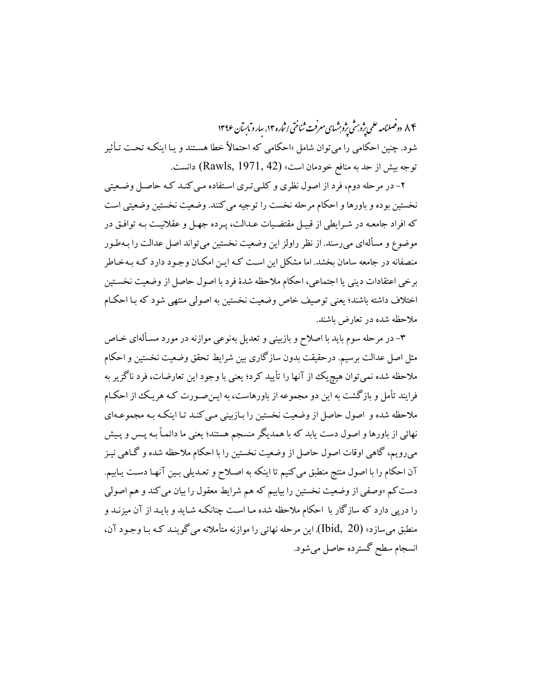۸۴ دوفصلنامه علمی ژوب شی ژوشهای معرفت ثناختی اثباره ۱۴، سارو مایسآن ۱۳۹۶ شود. چنین احکامی را می توان شامل «احکامی که احتمالاً خطا هستند و یـا اینکـه تحـت تـأثیر توجه بيش از حد به منافع خودمان است، (Rawls, 1971, 42) دانست.

۲- در مرحله دوم، فرد از اصول نظری و کلـیتری اسـتفاده مـی کنـد کـه حاصـل وضـعیتی نخستين بوده و باورها و احكام مرحله نخست را توجيه مي كنند. وضعيت نخستين وضعيتي است که افراد جامعـه در شـرايطي از قبيـل مقتضـيات عـدالت، پـرده جهـل و عقلانيـت بـه توافـق در موضوع و مسألهای میرسند. از نظر راولز این وضعیت نخستین میتواند اصل عدالت را بـهطـور منصفانه در جامعه سامان بخشد. اما مشکل این است کـه ایـن امکـان وجـود دارد کـه بـهخـاطر برخي اعتقادات ديني يا اجتماعي، احكام ملاحظه شدهٔ فرد با اصول حاصل از وضعيت نخسـتين اختلاف داشته باشند؛ یعنی توصیف خاص وضعیت نخستین به اصولی منتهی شود که بـا احکـام ملاحظه شده در تعارض باشند.

۳- در مرحله سوم باید با اصلاح و بازبینی و تعدیل بهنوعی موازنه در مورد مسـألهای خـاص مثل اصل عدالت برسیم. درحقیقت بدون سازگاری بین شرایط تحقق وضعیت نخستین و احکام ملاحظه شده نمي توان هيچ يک از آنها را تأييد کرد؛ يعني با وجود اين تعارضات، فرد ناگز پر به فرایند تأمل و بازگشت به این دو مجموعه از باورهاست، به ایـن۵صورت کـه هریـک از احکـام ملاحظه شده و اصول حاصل از وضعیت نخستین را بـازبینی مـی کنـد تـا اینکـه بـه مجموعـهای نهائی از باورها و اصول دست یابد که با همدیگر منسجم هستند؛ یعنی ما دائمـاً بـه پــس و پـیش میرویم، گاهی اوقات اصول حاصل از وضعیت نخستین را با احکام ملاحظه شده و گـاهی نیـز آن احکام را با اصول منتج منطبق می کنیم تا اینکه به اصـلاح و تعـدیلی بـین آنهـا دسـت یـابیم. دست کم «وصفی از وضعیت نخستین را بیابیم که هم شرایط معقول را بیان می کند و هم اصولی را درپی دارد که سازگار با احکام ملاحظه شده مـا اسـت چنانکـه شـاید و بایـد از آن میزنـد و منطبق مي سازد» (Ibid, 20). اين مرحله نهائي را موازنه متأملانه مي گوينـد كـه بـا وجـود آن، انسجام سطح گسترده حاصل می شود.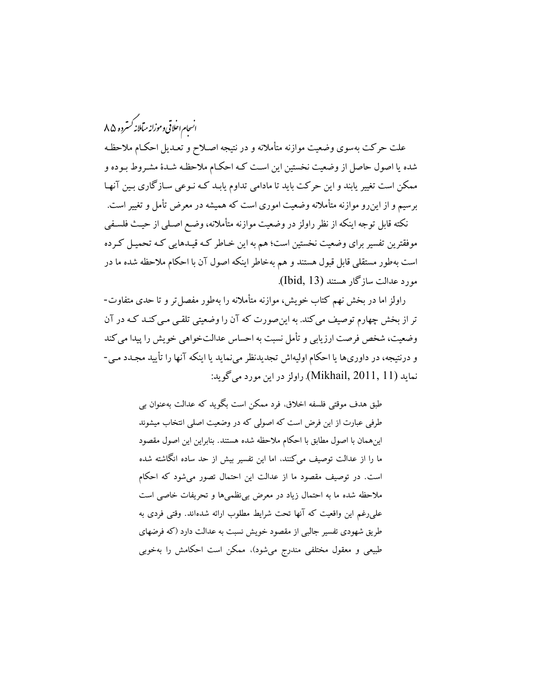.<br>انسحام اخلاقی وموزانه میآملانه *کستر*ده ۸۵

علت حرکت بهسوی وضعیت موازنه متأملانه و در نتیجه اصـلاح و تعـدیل احکـام ملاحظـه شده یا اصول حاصل از وضعیت نخستین این است کـه احکـام ملاحظـه شـدهٔ مشـروط بـوده و ممکن است تغییر پابند و این حرکت باید تا مادامی تداوم یابـد کـه نـوعی سـازگاری بـین آنهـا برسیم و از این٫و موازنه متأملانه وضعیت اموری است که همیشه در معرض تأمل و تغییر است.

نکته قابل توجه اینکه از نظر راولز در وضعیت موازنه متأملانه، وضـع اصـلی از حیـث فلسـفی موفقترین تفسیر برای وضعیت نخستین است؛ هم به این خـاطر کـه قیـدهایی کـه تحمیـل کـرده است بهطور مستقلبی قابل قبول هستند و هم بهخاطر اینکه اصول آن با احکام ملاحظه شده ما در مورد عدالت سازگار هستند (Ibid, 13).

راولز اما در بخش نهم کتاب خویش، موازنه متأملانه را بهطور مفصل تر و تا حدی متفاوت-تر از بخش چهارم توصیف می کند. به این صورت که آن را وضعیتی تلقبی مبی کنـد کـه در آن وضعيت، شخص فرصت ارزيابي و تأمل نسبت به احساس عدالتخواهي خويش را پيدا مي كند و درنتیجه، در داوریها یا احکام اولیهاش تجدیدنظر می نماید یا اینکه آنها را تأیید مجـدد مـی-نمايد (Mikhail, 2011, 11). راولز در اين مورد مي گويد:

> طبق هدف موقتی فلسفه اخلاق، فرد ممکن است بگوید که عدالت بهعنوان بی طرفی عبارت از این فرض است که اصولی که در وضعیت اصلی انتخاب میشوند اين همان با اصول مطابق با احكام ملاحظه شده هستند. بنابراين اين اصول مقصود ما را از عدالت توصیف می کنند، اما این تفسیر بیش از حد ساده انگاشته شده است. در توصیف مقصود ما از عدالت این احتمال تصور می شود که احکام ملاحظه شده ما به احتمال زياد در معرض بي نظميها و تحريفات خاصي است على رغم اين واقعيت كه آنها تحت شرايط مطلوب ارائه شدهاند. وقتى فردى به طریق شهودی تفسیر جالبی از مقصود خویش نسبت به عدالت دارد (که فرضهای طبیعی و معقول مختلفی مندرج میشود). ممکن است احکامش را بهخوبی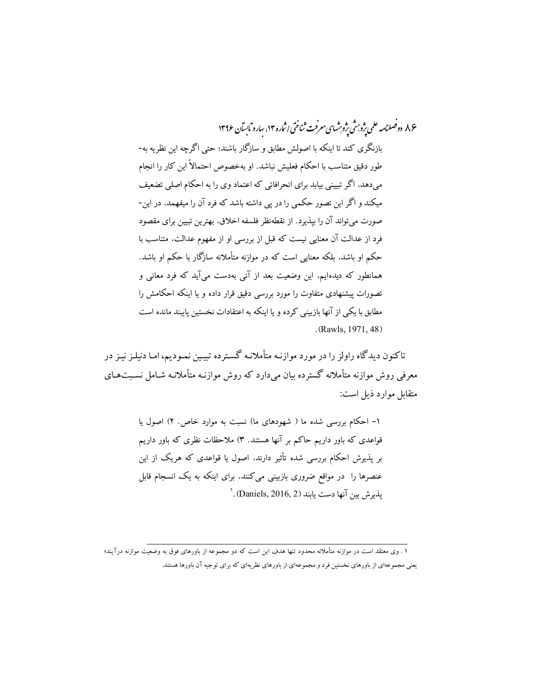۸۶ دوصلنامه علمی یژوبرش یژوبرشهای معرفت ثناختی اثباره ۱۴، سارو مابسآن ۱۳۹۶ بازنگری کند تا اینکه با اصولش مطابق و سازگار باشند؛ حتی اگرچه این نظریه به-طور دقیق متناسب با احکام فعلیش نباشد. او بهخصوص احتمالاً این کار را انجام میدهد، اگر تبیینی بیابد برای انحرافاتی که اعتماد وی را به احکام اصلی تضعیف میکند و اگر این تصور حکمی را در پی داشته باشد که فرد آن را میفهمد، در این-صورت می تواند آن را بیذیرد. از نقطهنظر فلسفه اخلاق، بهترین تبیین برای مقصود فرد از عدالت آن معنایی نیست که قبل از بررسی او از مفهوم عدالت، متناسب با .<br>حکم او باشد، بلکه معنایی است که در موازنه متأملانه سازگار با حکم او باشد. همانطور که دیدهایم، این وضعیت بعد از آنی بهدست می آید که فرد معانی و تصورات پیشنهادی متفاوت را مورد بررسی دقیق قرار داده و یا اینکه احکامش را مطابق با یکی از آنها بازبینی کرده و یا اینکه به اعتقادات نخستین پایبند مانده است .(Rawls, 1971, 48)

تاکنون دیدگاه راولز را در مورد موازنـه متأملانـه گسـترده تبیـین نمـودیم، امـا دنیلـز نیـز در معرفی روش موازنه متأملانه گسترده بیان میدارد که روش موازنـه متأملانـه شـامل نسـبت۱عـای متقابل موارد ذبل است:

> ۱– احکام بررسی شده ما ( شهودهای ما) نسبت به موارد خاص. ۲) اصول یا قواعدی که باور داریم حاکم بر آنها هستند. ۳) ملاحظات نظری که باور داریم بر پذیرش احکام بررسی شده تأثیر دارند. اصول یا قواعدی که هریک از این عنصرها را در مواقع ضروری بازبینی میکنند، برای اینکه به یک انسجام قابل  $^{\prime}$ . (Daniels, 2016, 2) بذير ش بين آنها دست بابند

۱ . وی معتقد است در موازنه متأملانه محدود تنها هدف این است که دو مجموعه از باورهای فوق به وضعیت موازنه درآیند؛ یعنی مجموعهای از باورهای نخستین فرد و مجموعهای از باورهای نظریهای که برای توجیه آن باورها هستند.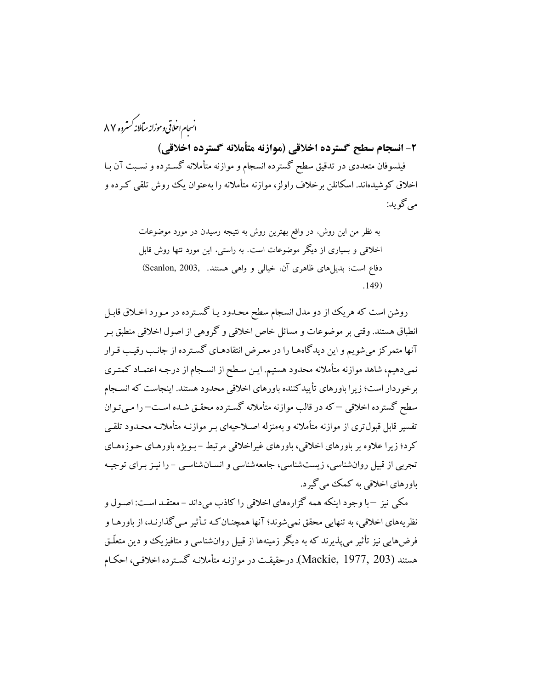.<br>انسحام احلاقی وموزانه میآملانه کسترده ۸۷ ٢- انسجام سطح گسترده اخلاقی (موازنه متأملانه گسترده اخلاقی) فیلسوفان متعددی در تدقیق سطح گسترده انسجام و موازنه متأملانه گسـترده و نسـبت آن بـا اخلاق کوشیدهاند. اسکانلن برخلاف راولز، موازنه متأملانه را بهعنوان یک روش تلقی کـرده و مي گويد:

> به نظر من این روش، در واقع بهترین روش به نتیجه رسیدن در مورد موضوعات اخلاقی و بسیاری از دیگر موضوعات است. به راستی، این مورد تنها روش قابل دفاع است؛ بدیل های ظاهری آن، خیالی و واهی هستند. Scanlon, 2003,  $.149)$

روشن است که هریک از دو مدل انسجام سطح محدود یـا گسـترده در مـورد اخـلاق قابـل انطباق هستند. وقتي بر موضوعات و مسائل خاص اخلاقي و گروهي از اصول اخلاقي منطبق بـر آنها متمرکز میشویم و این دیدگاههـا را در معـرض انتقادهـای گسـترده از جانـب رقيـب قـرار نمی دهیم، شاهد موازنه متأملانه محدود هستیم. ایـن سـطح از انسـجام از درجـه اعتمـاد كمتـرى برخوردار است؛ زیرا باورهای تأییدکننده باورهای اخلاقی محدود هستند. اینجاست که انسـجام سطح گسترده اخلاقی —که در قالب موازنه متأملانه گسـترده محقـق شـده اسـت—را مـی تـوان تفسیر قابل قبول تری از موازنه متأملانه و بهمنزله اصلاحیهای بـر موازنـه متأملانـه محـدود تلقـی کرد؛ زیرا علاوه بر باورهای اخلاقی، باورهای غیراخلاقی مرتبط –بـویژه باورهـای حـوزههـای تجربی از قبیل روانشناسی، زیستشناسی، جامعهشناسی و انسـانشناسـی - را نیـز بـرای توجیـه باورهای اخلاقی به کمک می گیرد.

مکي نيز –با وجود اينکه همه گزارههاي اخلاقي را کاذب ميداند – معتقـد اسـت: اصـول و نظر یههای اخلاقی، به تنهایی محقق نمی شوند؛ آنها همچنـان کـه تـأثیر مـی گذارنـد، از باورهـا و فرضهایی نیز تأثیر می پذیرند که به دیگر زمینهها از قبیل روانشناسی و متافیزیک و دین متعلّق هستند (Mackie, 1977, 203). درحقیقت در موازنـه متأملانـه گسـترده اخلاقـي، احكـام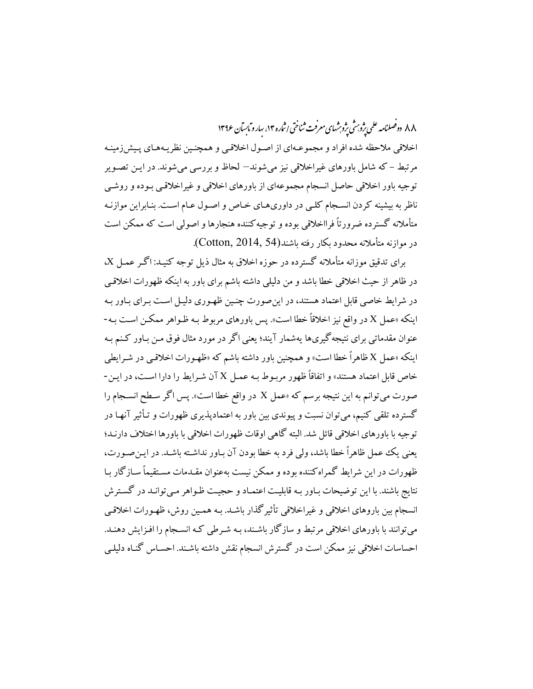۸۸ دوفصلنامه علمی پژوبش پژوبشهای معرفت ثناختی اثباره ۱۴، سارو مایسآن ۱۳۹۶

اخلاقی ملاحظه شده افراد و مجموعـهای از اصـول اخلاقـی و همچنـین نظریـههـای پـیش(زمینـه مرتبط – که شامل باورهای غیراخلاقی نیز می شوند— لحاظ و بررسی می شوند. در ایـن تصـویر توجیه باور اخلاقی حاصل انسجام مجموعهای از باورهای اخلاقی و غیراخلاقیی بـوده و روشـی ناظر به بیشینه کردن انسـجام کلـی در داوریهـای خـاص و اصـول عـام اسـت. بنـابراین موازنـه متأملانه گسترده ضرورتاً فرااخلاقی بوده و توجیه کننده هنجارها و اصولی است که ممکن است در موازنه متأملانه محدود یکار رفته باشند(Cotton, 2014, 54).

برای تدقیق موزانه متأملانه گسترده در حوزه اخلاق به مثال ذیل توجه کنیـد: اگـر عمـل X، در ظاهر از حیث اخلاقی خطا باشد و من دلیلی داشته باشم برای باور به اینکه ظهورات اخلاقبی در شرایط خاصی قابل اعتماد هستند، در این صورت چنین ظهوری دلیـل اسـت بـرای بـاور بـه اينكه «عمل X در واقع نيز اخلاقاً خطا است». پس باورهاي مربوط بـه ظـواهر ممكـن اسـت بـه-عنوان مقدماتی برای نتیجه گیریها یهشمار آیند؛ یعنی اگر در مورد مثال فوق مـن بـاور کـنـم بـه اینکه «عمل X ظاهراً خطا است» و همچنین باور داشته باشم که «ظهـورات اخلاقـی در شـرایطی خاص قابل اعتماد هستند» و اتفاقاً ظهور مربـوط بـه عمـل X آن شـرايط را دارا اسـت، در ايـن-صورت میتوانم به این نتیجه برسم که «عمل X در واقع خطا است». پس اگر سطح انسـجام را گسترده تلقی کنیم، میتوان نسبت و پیوندی بین باور به اعتمادپذیری ظهورات و تـأثیر آنهـا در توجيه با باورهاي اخلاقي قائل شد. البته گاهي اوقات ظهورات اخلاقي با باورها اختلاف دارنـد؛ يعني يك عمل ظاهراً خطا باشد، ولي فرد به خطا بودن آن بـاور نداشـته باشـد. در ايـن صـورت، ظهورات در این شرایط گمراه کننده بوده و ممکن نیست بهعنوان مقـدمات مسـتقیماً سـازگار بـا نتایج باشند. با این توضیحات بـاور بـه قابلیـت اعتمـاد و حجیـت ظـواهر مـیتوانـد در گسـترش انسجام بین باروهای اخلاقی و غیراخلاقی تأثیرگذار باشـد. بـه همـین روش، ظهـورات اخلاقـی می توانند با باورهای اخلاقی مرتبط و سازگار باشـند، بـه شـرطی کـه انسـجام را افـزایش دهنـد. احساسات اخلاقی نیز ممکن است در گسترش انسجام نقش داشته باشـند. احسـاس گنـاه دلیلـی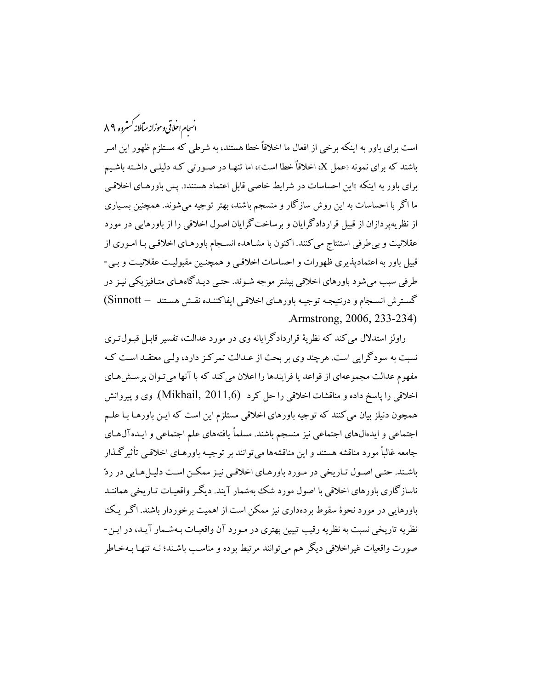# .<br>انسحام احلاقی وموزانه میآملانه *کستر*ده ۸۹

است برای باور به اینکه برخی از افعال ما اخلاقاً خطا هستند، به شرطی که مستلزم ظهور این امـر باشند که برای نمونه «عمل X، اخلاقاً خطا است»، اما تنهـا در صـورتی کـه دلیلـی داشـته باشـیم برای باور به اینکه «این احساسات در شرایط خاصی قابل اعتماد هستند». پس باورهـای اخلاقـی ما اگر با احساسات به این روش سازگار و منسجم باشند، بهتر توجیه میشوند. همچنین بسـیاری از نظریهپردازان از قبیل قراردادگرایان و برساختگرایان اصول اخلاقی را از باورهایی در مورد عقلانیت و بی طرفی استنتاج می کنند. اکنون با مشـاهده انسـجام باورهـای اخلاقـی بـا امـوری از قبیل باور به اعتمادیذیری ظهورات و احساسات اخلاقبی و همچنـین مقبولیـت عقلانیـت و بـی-طرفی سبب میشود باورهای اخلاقی بیشتر موجه شـوند. حتـبی دیـدگاههـای متـافیزیکی نیـز در گسترش انسـجام و درنتيجـه توجيـه باورهـاي اخلاقـي ايفاكننـده نقـش هسـتند — Sinnott) Armstrong, 2006, 233-234)

راولز استدلال می کند که نظریهٔ قراردادگرایانه وی در مورد عدالت، تفسیر قابـل قبـول تـری نسبت به سودگرایی است. هرچند وی بر بحث از عـدالت تمرکـز دارد، ولـی معتقـد اسـت کـه مفهوم عدالت مجموعهای از قواعد یا فرایندها را اعلان می کند که با آنها می تـوان پرسـش6حای اخلاقی را پاسخ داده و مناقشات اخلاقی را حل کرد (Mikhail, 2011,6). وی و پیروانش همچون دنیلز بیان می کنند که توجیه باورهای اخلاقی مستلزم این است که ایـن باورهـا بـا علـم اجتماعی و ایدهالهای اجتماعی نیز منسجم باشند. مسلماً یافتههای علم اجتماعی و ایـدهآل۱مـای جامعه غالباً مورد مناقشه هستند و این مناقشهها می توانند بر توجیـه باورهـای اخلاقـی تأثیرگـذار باشـند. حتـي اصـول تـاريخي در مـورد باورهـاي اخلاقـي نيـز ممكـن اسـت دليـلهـايي در ردّ ناسازگاري باورهاي اخلاقي با اصول مورد شک بهشمار آيند. ديگـر واقعيـات تـاريخي هماننـد باورهایی در مورد نحوهٔ سقوط بردهداری نیز ممکن است از اهمیت برخوردار باشند. اگـر یـک نظریه تاریخی نسبت به نظریه رقیب تبیین بهتری در مـورد آن واقعیـات بـهشـمار آیـد، در ایـن-صورت واقعیات غیراخلاقی دیگر هم می توانند مرتبط بوده و مناسب باشـند؛ نـه تنهـا بـهخـاطر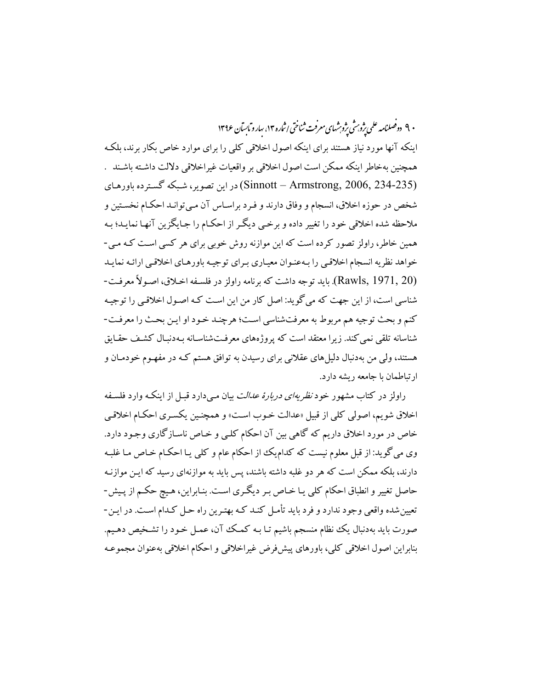۰۹ دوصلنامه علمی ژوبرش ژوېشهای معرفت ثناختی اثباره ۱۳، سارو مایسآن ۱۳۹۶ اینکه آنها مورد نیاز هستند برای اینکه اصول اخلاقی کلی را برای موارد خاص بکار برند، بلکه همچنین بهخاطر اینکه ممکن است اصول اخلاقی بر واقعیات غیراخلاقی دلالت داشته باشند . (Sinnott – Armstrong, 2006, 234-235) در این تصویر، شبکه گسترده باورهای شخص در حوزه اخلاق، انسجام و وفاق دارند و فـرد براسـاس آن مـي توانـد احكـام نخسـتين و ملاحظه شده اخلاقی خود را تغییر داده و برخمی دیگـر از احکـام را جـایگزین آنهـا نمایـد؛ بـه همین خاطر، راولز تصور کرده است که این موازنه روش خوبی برای هر کسی است کـه مـی-خواهد نظريه انسجام اخلاقيي را بـهعنـوان معيـاري بـراي توجيـه باورهـاي اخلاقـي ارائـه نمايـد (Rawls, 1971, 20). بايد توجه داشت كه برنامه راولز در فلسـفه اخــلاق، اصـولاً معرفـت-شناسی است، از این جهت که می گوید: اصل کار من این است کـه اصـول اخلاقـی را توجیـه كنم و بحث توجيه هم مربوط به معرفتشناسي است؛ هرچنـد خـود او ايـن بحـث را معرفـت-شناسانه تلقی نمی کند. زیرا معتقد است که پروژههای معرفتشناسـانه بـهدنبـال کشـف حقـایق هستند، ولی من بهدنبال دلیلهای عقلانی برای رسیدن به توافق هستم کـه در مفهـوم خودمـان و ار تباطمان با جامعه ریشه دارد.

راولز در کتاب مشهور خود *نظریهای دربارهٔ عدالت* بیان مـیدارد قبـل از اینکـه وارد فلسـفه اخلاق شویم، اصولی کلی از قبیل «عدالت خـوب اسـت» و همچنـین یکسـری احکـام اخلاقـی خاص در مورد اخلاق داریم که گاهی بین آن احکام کلـی و خـاص ناسـازگاری وجـود دارد. وی میگوید: از قبل معلوم نیست که کدامLیک از احکام عام و کلی یـا احکـام خـاص مـا غلبـه دارند، بلکه ممکن است که هر دو غلبه داشته باشند، پس باید به موازنهای رسید که ایـن موازنـه حاصل تغییر و انطباق احکام کلی یـا خـاص بـر دیگـری اسـت. بنـابراین، هـیچ حکـم از پـیش-تعیین شده واقعی وجود ندارد و فرد باید تأمـل کنـد کـه بهتـرین راه حـل کـدام اسـت. در ایـن-صورت بايد بهدنبال يك نظام منسجم باشيم تـا بـه كمـك آن، عمـل خـود را تشـخيص دهـيم. بنابراين اصول اخلاقي كلي، باورهاي ييش فرض غيراخلاقي و احكام اخلاقي بهعنوان مجموعـه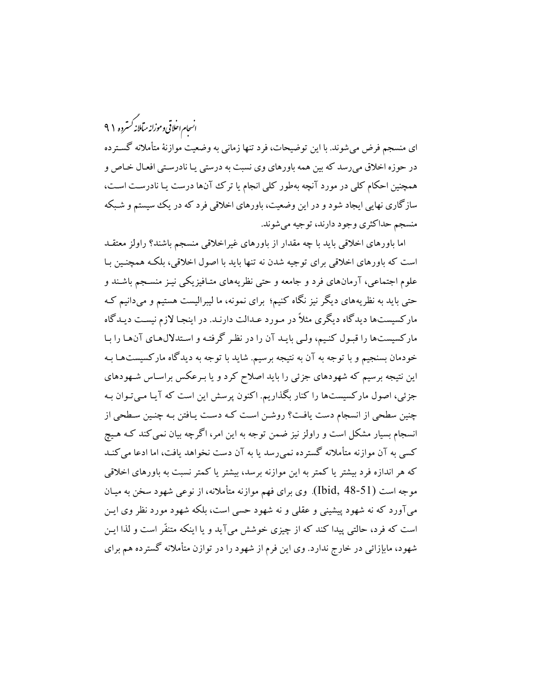.<br>انسحام اخلاقی وموزانه میآملانه *کستر*ده ۹۹

ای منسجم فرض میشوند. با این توضیحات، فرد تنها زمانی به وضعیت موازنهٔ متأملانه گسترده در حوزه اخلاق میرسد که بین همه باورهای وی نسبت به درستی یـا نادرسـتی افعـال خـاص و همچنین احکام کلی در مورد آنچه بهطور کلی انجام یا ترک آنها درست یـا نادرسـت اسـت، سازگاری نهایی ایجاد شود و در این وضعیت، باورهای اخلاقی فرد که در یک سیستم و شبکه منسجم حداکثري وجود دارند، توجيه مي شوند.

اما باورهای اخلاقی باید با چه مقدار از باورهای غیراخلاقی منسجم باشند؟ راولز معتقـد است که باورهای اخلاقی برای توجیه شدن نه تنها باید با اصول اخلاقی، بلکه همچنـین بـا علوم اجتماعی، آرمانهای فرد و جامعه و حتی نظریههای متـافیزیکی نیـز منسـجم باشـند و حتبی باید به نظریههای دیگر نیز نگاه کنیم؛ برای نمونه، ما لیبرالیست هستیم و میدانیم کـه مارکسیستها دیدگاه دیگری مثلاً در مـورد عـدالت دارنـد. در اینجـا لازم نیسـت دیـدگاه مارکسیستها را قبول کنیم، ولبی بایـد آن را در نظـر گرفتـه و اسـتدلالهـای آنهـا را بـا خودمان بسنجیم و با توجه به آن به نتیجه برسیم. شاید با توجه به دیدگاه مارکسیستهـا بـه این نتیجه برسیم که شهودهای جزئی را باید اصلاح کرد و یا بـرعکس براسـاس شـهودهای جزئی، اصول مارکسیستها را کنار بگذاریم. اکنون پرسش این است که آیـا مـیتـوان بـه چنین سطحی از انسجام دست یافت؟ روشـن اسـت کـه دسـت یـافتن بـه چنـین سـطحی از انسجام بسیار مشکل است و راولز نیز ضمن توجه به این امر، اگرچه بیان نمی کند کـه هـیچ کسی به آن موازنه متأملانه گسترده نمی رسد یا به آن دست نخواهد یافت، اما ادعا می کنـد که هر اندازه فرد بیشتر یا کمتر به این موازنه برسد، بیشتر یا کمتر نسبت به باورهای اخلاقی موجه است (Ibid, 48-51). وي براي فهم موازنه متأملانه، از نوعي شهود سخن به ميـان میآورد که نه شهود پیشینی و عقلی و نه شهود حسی است، بلکه شهود مورد نظر وی ایـن است که فرد، حالتی پیدا کند که از چیزی خوشش می آید و یا اینکه متنفّر است و لذا ایـن شهود، مابإزائی در خارج ندارد. وی این فرم از شهود را در توازن متأملانه گسترده هم برای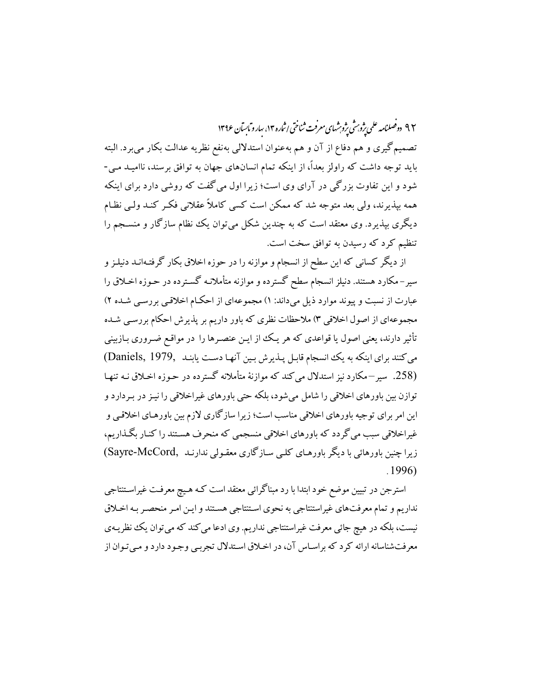۹۲ دوصلنامه علمی پژو ش پژوشهای معرفت ثناختی اشاره ۱۳، سارو ماسآن ۱۳۹۶ تصميم گيري و هم دفاع از آن و هم بهعنوان استدلالي بهنفع نظريه عدالت بكار مي برد. البته باید توجه داشت که راولز بعداً، از اینکه تمام انسانهای جهان به توافق برسند، ناامیـد مـی-شود و این تفاوت بزرگی در آرای وی است؛ زیرا اول می گفت که روشی دارد برای اینکه همه بیذیرند، ولی بعد متوجه شد که ممکن است کسی کاملاً عقلانی فک کنـد ولـی نظـام دیگری بپذیرد. وی معتقد است که به چندین شکل می توان یک نظام سازگار و منسـجم را تنظیم کرد که رسیدن به توافق سخت است.

از دیگر کسانی که این سطح از انسجام و موازنه را در حوزه اخلاق بکار گرفتـهانــد دنیلـز و سیر–مکارد هستند. دنیلز انسجام سطح گسترده و موازنه متأملانـه گسـترده در حـوزه اخـلاق را عبارت از نسبت و پیوند موارد ذیل میداند: ۱) مجموعهای از احکام اخلاقبی بررسـی شـده ۲) مجموعهای از اصول اخلاقی ۳) ملاحظات نظری که باور داریم بر پذیرش احکام بررسبی شـده تأثیر دارند، یعنی اصول یا قواعدی که هر یک از ایـن عنصـرها را در مواقـع ضـروری بـازبینی می کنند برای اینکه به یک انسجام قابل پذیرش بین آنها دست یابنـد ,Daniels, 1979 (258. سیر –مکارد نیز استدلال می کند که موازنهٔ متأملانه گسترده در حـوزه اخـلاق نـه تنهـا توازن بین باورهای اخلاقی را شامل می شود، بلکه حتی باورهای غیراخلاقی را نیـز در بـردارد و این امر برای توجیه باورهای اخلاقی مناسب است؛ زیرا سازگاری لازم بین باورهـای اخلاقـی و غیراخلاقی سبب می گردد که باورهای اخلاقی منسجمی که منحرف هستند را کنـار بگـذاریم، زیرا چنین باورهائی با دیگر باورهـای کلـی سـازگاری معقـولی ندارنـد (Sayre-McCord)  $.1996$ 

استرجن در تبیین موضع خود ابتدا با رد مبناگرائی معتقد است کـه هـیچ معرفـت غیراسـتنتاجی نداریم و تمام معرفتهای غیراستنتاجی به نحوی استنتاجی هستند و ایـن امـر منحصـر بـه اخـلاق نیست، بلکه در هیچ جائی معرفت غیراستنتاجی نداریم. وی ادعا می کند که می توان یک نظریـهی معرفتشناسانه ارائه کرد که براسـاس آن، در اخـلاق اسـتدلال تجربـي وجـود دارد و مـي تـوان از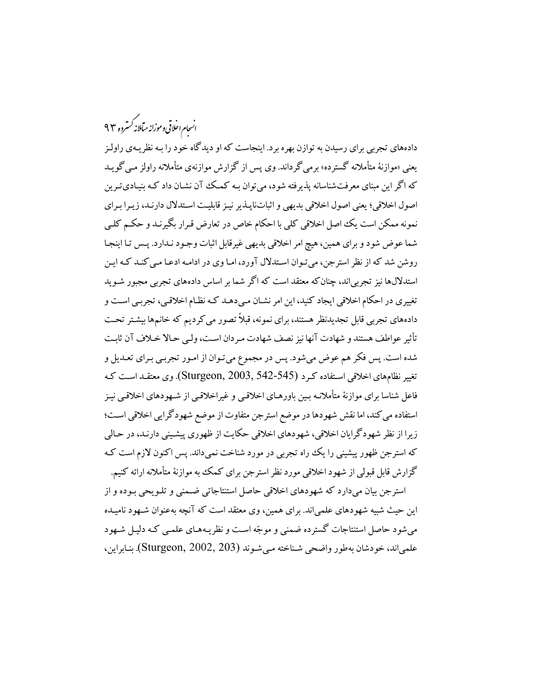.<br>انسحام احلاقی و موزانه میآملانه کسترده ۹۳

دادههای تجربی برای رسیدن به توازن بهره برد. اینجاست که او دیدگاه خود را بـه نظریـهی راولـز یعنی «موازنهٔ متأملانه گسترده» برمی گرداند. وی پس از گزارش موازنهی متأملانه راولز مبی گویـد که اگر این مبنای معرفتشناسانه پذیرفته شود، می توان بـه کمـک آن نشـان داد کـه بنیـادی تـرین اصول اخلاقي؛ يعني اصول اخلاقي بديهي و اثباتنايـذير نيـز قابليـت اسـتدلال دارنـد، زيـرا بـراي نمونه ممکن است یک اصل اخلاقی کلی با احکام خاص در تعارض قـرار بگیرنـد و حکـم کلـی شما عوض شود و برای همین، هیچ امر اخلاقی بدیهی غیرقابل اثبات وجـود نـدارد. پـس تـا اینجـا روشن شد که از نظر استرجن، میتوان استدلال آورد، اما وی در ادامه ادعـا مـی کنـد کـه ایـن استدلالها نیز تجربی اند، چنان که معتقد است که اگر شما بر اساس دادههای تجربی مجبور شـوید تغییری در احکام اخلاقی ایجاد کنید، این امر نشـان مـیدهـد کـه نظـام اخلاقـی، تجربـی اسـت و دادههای تجربی قابل تجدیدنظر هستند، برای نمونه، قبلاً تصور می کردیم که خانمها بیشتر تحت تأثير عواطف هستند و شهادت آنها نيز نصف شهادت مـردان اسـت، ولـي حـالا خـلاف آن ثابـت شده است. پس فکر هم عوض میشود. پس در مجموع میتوان از امـور تجربـی بـرای تعـدیل و تغيير نظامِهاي اخلاقي اسـتفاده كـرد (Sturgeon, 2003, 542-545). وي معتقـد اسـت كـه فاعل شناسا برای موازنهٔ متأملانـه بـین باورهـای اخلاقـی و غیراخلاقـی از شـهودهای اخلاقـی نیـز استفاده می کند، اما نقش شهودها در موضع استرجن متفاوت از موضع شهودگرایی اخلاقی است؛ زیرا از نظر شهودگرایان اخلاقی، شهودهای اخلاقی حکایت از ظهوری پیشینی دارنـد، در حـالی که استرجن ظهور پیشینی را یک راه تجربی در مورد شناخت نمیداند. پس اکنون لازم است ک گزارش قابل قبولی از شهود اخلاقی مورد نظر استرجن برای کمک به موازنهٔ متأملانه ارائه کنیم.

استرجن بیان میدارد که شهودهای اخلاقی حاصل استنتاجاتی ضـمنی و تلـویحی بـوده و از این حیث شبیه شهودهای علمی اند. برای همین، وی معتقد است که آنچه بهعنوان شـهود نامیـده می شو د حاصل استنتاجات گستر ده ضمنی و موجّه است و نظر پیههای علمبی کـه دلیـل شـهو د علمیاند، خودشان بهطور واضحی شناخته میشوند (Sturgeon, 2002, 203). بنابراین،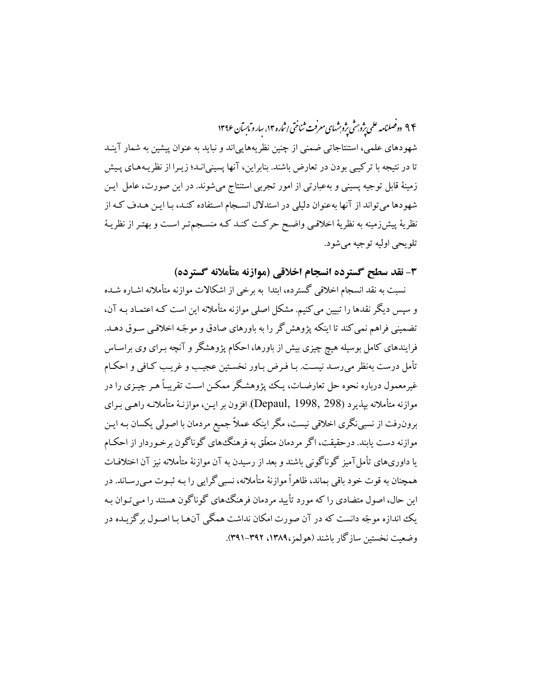۹۴ دوفصلنامه علمی یژوبرش یژوبرشهای معرفت ثناختی اثماره ۱۴، سارو مابسآن ۱۳۹۶ شهودهای علمی، استنتاجاتی ضمنی از چنین نظریههایی اند و نباید به عنوان پیشین به شمار آینـد تا در نتیجه با ترکیبی بودن در تعارض باشند. بنابراین، آنها پسینیانـد؛ زیـرا از نظریـههـای پـیش زمینهٔ قابل توجیه پسینی و بهعبارتی از امور تجربی استنتاج می شوند. در این صورت، عامل ایـن شهودها می تواند از آنها بهعنوان دلیلی در استدلال انسـجام اسـتفاده کنـد، بـا ایـن هـدف کـه از نظريهٔ پيشiرمينه به نظريهٔ اخلاقـي واضـح حركـت كنـد كـه منسـجمتـر اسـت و بهتـر از نظريـهٔ تلويحي اوليه توجيه مي شود.

٣- نقد سطح گسترده انسجام اخلاقی (موازنه متأملانه گسترده)

نسبت به نقد انسجام اخلاقی گسترده، ابتدا به برخی از اشکالات موازنه متأملانه اشـاره شـده و سپس دیگر نقدها را تبیین می کنیم. مشکل اصلی موازنه متأملانه این است کـه اعتمـاد بـه آن، تضمینی فراهم نمی کند تا اینکه پژوهش گر را به باورهای صادق و موجّه اخلاقبی سـوق دهـد. فرایندهای کامل بوسیله هیچ چیزی بیش از باورها، احکام پژوهشگر و آنچه بـرای وی براسـاس تأمل درست بهنظر مى رسـد نيسـت. بـا فـرض بـاور نخسـتين عجيــب و غريـب كـافى و احكـام غیرمعمول درباره نحوه حل تعارضـات، یـک یژوهشـگر ممکــن اسـت تقریبـاً هــر چیــزی را در موازنه متأملانه بيذيرد (Depaul, 1998, 298). افزون بر ايـن، موازنـهٔ متأملانـه راهـبي بـراي برون٫فت از نسبی نگری اخلاقی نیست، مگر اینکه عملاً جمیع مردمان با اصولی یکسان بـه ایـن موازنه دست یابند. درحقیقت، اگر مردمان متعلّق به فرهنگءهای گوناگون برخـوردار از احکـام یا داوریهای تأمل آمیز گوناگونی باشند و بعد از رسیدن به آن موازنهٔ متأملانه نیز آن اختلافـات همچنان به قوت خود باقی بماند، ظاهراً موازنهٔ متأملانه، نسبی گرایی را بـه ثبـوت مـی رسـاند. در این حال، اصول متضادی را که مورد تأیید مردمان فرهنگ۱های گوناگون هستند را مبی تـوان بـه یک اندازه موجّه دانست که در آن صورت امکان نداشت همگی آنهـا بـا اصـول بر گزیـده در وضعت نخستين سازگار باشند (هولمز،١٣٨٩، ٣٩١-٣٩١).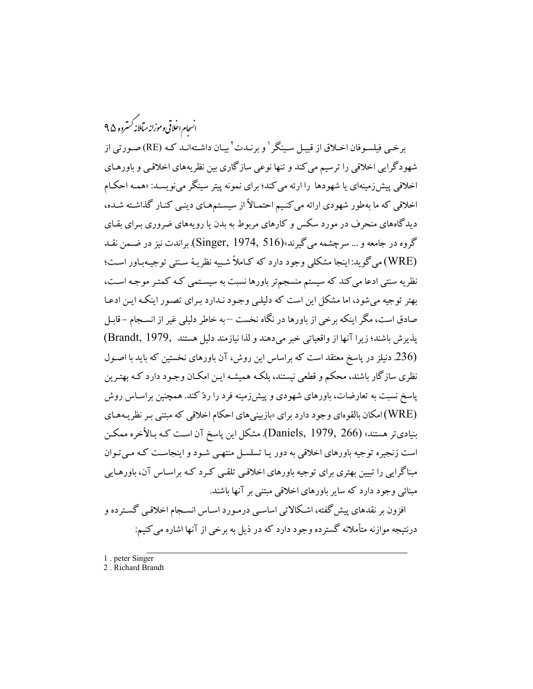.<br>انسحام احلاقی وموزانه میآملانه *کستر*ده ۴۵

برخبي فيلسـوفان اخـلاق از قبيـل سـينگر <sup>١</sup> و برنـدت ْ بيـان داشـتهانـد كـه (RE) صـورتي از شهودگرايي اخلاقي را ترسيم مي كند و تنها نوعي سازگاري بين نظريههاي اخلاقيي و باورهـاي اخلاقی پیش زمینهای یا شهودها را ارئه می کند؛ برای نمونه پیتر سینگر می نویسـد: «همـه احکـام اخلاقی که ما بهطور شهودی ارائه می کنیم احتمـالاً از سیسـتمهـای دینـی کنـار گذاشـته شـده، دیدگاههای منحرف در مورد سکس و کارهای مربوط به بدن یا رویههای ضروری بـرای بقـای گروه در جامعه و … سرچشمه مي گيرند»(Singer, 1974, 516) براندت نيز در ضـمـن نقـد (WRE) مي گويد:اينجا مشكلي وجود دارد كه كـاملاً شـبيه نظريـهٔ سـنتي توجيـهبـاور اسـت؛ نظریه سنتی ادعا می کند که سیستم منسجمتر باورها نسبت به سیستمی کـه کمتـر موجـه اسـت، بهتر توجیه می شود، اما مشکل این است که دلیلبی وجـود نـدارد بـرای تصـور اینکـه ایـن ادعـا صادق است، مگر اینکه برخی از باورها در نگاه نخست —به خاطر دلیلی غیر از انســجام –قابـل يذيرش باشند؛ زيرا آنها از واقعياتي خبر مي دهند و لذا نيازمند دليل هستند ,Brandt, 1979) (236 دنیلز در پاسخ معتقد است که براساس این روش، آن باورهای نخستین که باید با اصـول نظری سازگار باشند، محکم و قطعی نیستند، بلکـه همیشـه ایـن امکـان وجـود دارد کـه بهتـرین پاسخ نسبت به تعارضات، باورهای شهودی و پیشiرمینه فرد را ردّ کند. همچنین براسـاس روش (WRE) امکان بالقوهای وجود دارد برای «بازبینیهای احکام اخلاقی که مبتنی بـر نظریـههـای بنیادیتر هستند» (Daniels, 1979, 266). مشکل این پاسخ آن است کـه بـالأخره ممکـن است زنجیره توجیه باورهای اخلاقی به دور یـا تسلسـل منتهـی شـود و اینجاسـت کـه مـی تـوان مبناگرایی را تبیین بهتری برای توجیه باورهای اخلاقیی تلقبی کـرد کـه براسـاس آن، باورهـایی مبنائی وجود دارد که سایر باورهای اخلاقی مبتنی بر آنها باشند.

افزون بر نقدهاي پيش گفته، اشكالاتي اساسي درمـورد اسـاس انسـجام اخلاقـي گسـترده و درنتیجه موازنه متأملانه گسترده وجود دارد که در ذیل به برخی از آنها اشاره می کنیم:

- 1. peter Singer
- 2. Richard Brandt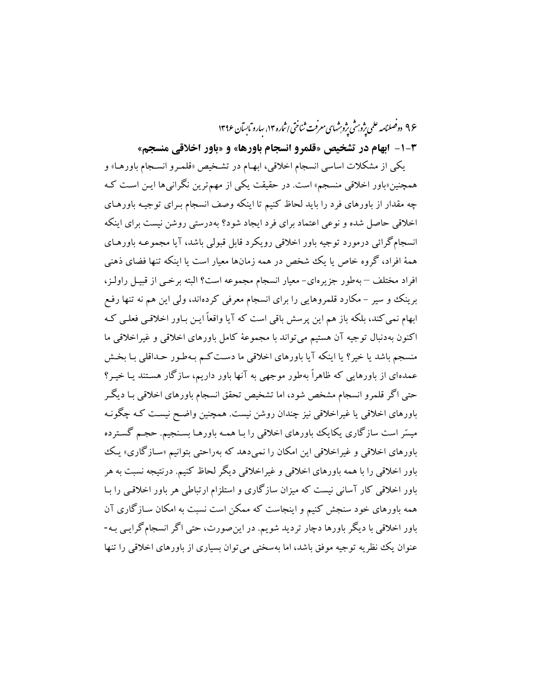۹۶ دوفصلنامه علمی یژوبرش یژوبشهای معرفت ثناختی اثماره ۱۴، سارو مابسآن ۱۳۹۶

**۳-۱- ابهام در تشخیص «قلمرو انسجام باورها» و «باور اخلاقی منسجم»** 

یکی از مشکلات اساسی انسجام اخلاقی، ابهـام در تشـخیص «قلمـرو انسـجام باورهـا» و همچنین«باور اخلاقی منسجم» است. در حقیقت یکی از مهمترین نگرانیها ایـن اسـت کـه چه مقدار از باورهای فرد را باید لحاظ کنیم تا اینکه وصف انسجام بـرای توجیـه باورهـای اخلاقی حاصل شده و نوعی اعتماد برای فرد ایجاد شود؟ بهدرستی روشن نیست برای اینکه انسجامگرائی درمورد توجیه باور اخلاقی رویکرد قابل قبولی باشد، آیا مجموعـه باورهـای همهٔ افراد، گروه خاص یا یک شخص در همه زمانها معیار است یا اینکه تنها فضای ذهنبی افراد مختلف – به طور جزیرهای– معیار انسجام مجموعه است؟ البته برخبی از قبیـل راولـز، برینک و سیر – مکارد قلمروهایی را برای انسجام معرفی کردهاند، ولی این هم نه تنها رفع ابھام نمی کند، بلکه باز هم این پرسش باقی است که آیا واقعاً ایـن بـاور اخلاقـی فعلـی کـه اكنون بهدنبال توجيه آن هستيم مي تواند با مجموعهٔ كامل باورهاي اخلاقي و غيراخلاقي ما منسجم باشد یا خیر؟ یا اینکه آیا باورهای اخلاقی ما دست کـم بـهطـور حـداقلبی بـا بخـش عمدهای از باورهایی که ظاهراً بهطور موجهی به آنها باور داریم، سازگار هستند یـا خیـر؟ حتی اگر قلمرو انسجام مشخص شود، اما تشخیص تحقق انسجام باورهای اخلاقی بـا دیگـر باورهای اخلاقی یا غیراخلاقی نیز چندان روشن نیست. همچنین واضـح نیسـت کـه چگونـه میسّر است سازگاری یکایک باورهای اخلاقی را بـا همـه باورهـا بسـنجیم. حجـم گسـترده باورهای اخلاقی و غیراخلاقی این امکان را نمی دهد که بهراحتی بتوانیم «سازگاری» یک باور اخلاقی را با همه باورهای اخلاقی و غیراخلاقی دیگر لحاظ کنیم. درنتیجه نسبت به هر .<br>باور اخلاقی کار آسانی نیست که میزان سازگاری و استلزام ارتباطی هر باور اخلاقبی را بـا همه باورهای خود سنجش کنیم و اینجاست که ممکن است نسبت به امکان سـازگاری آن باور اخلاقی با دیگر باورها دچار تردید شویم. در این صورت، حتی اگر انسجام گرایـی بـه-عنوان یک نظریه توجیه موفق باشد، اما بهسختی می توان بسیاری از باورهای اخلاقی را تنها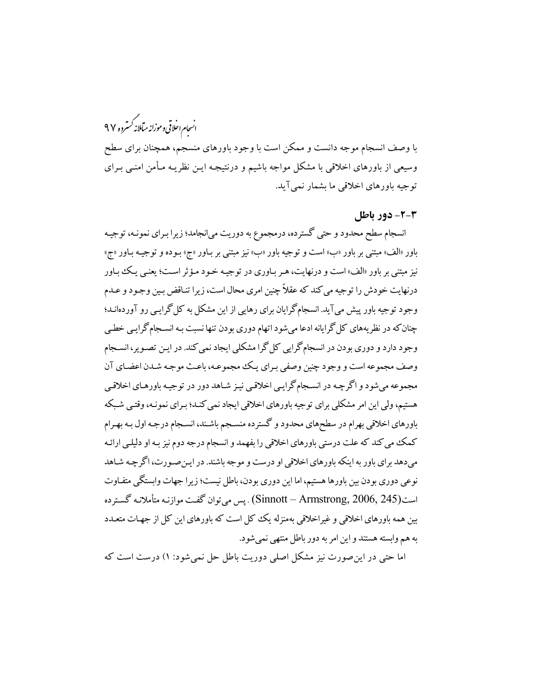## .<br>انسحام اخلاقی وموزانه میآملانه *کستر*ده ۹۷

با وصف انسجام موجه دانست و ممکن است با وجود باورهای منسجم، همچنان برای سطح وسیعی از باورهای اخلاقی با مشکل مواجه باشیم و درنتیجـه ایـن نظریـه مـأمن امنـی بـرای توجيه باورهاي اخلاقي ما بشمار نمي آيد.

#### 2-2- دور باطل

انسجام سطح محدود و حتی گسترده، درمجموع به دوریت میانجامد؛ زیرا بـرای نمونـه، توجیـه .<br>باور «الف» مبتنی بر باور «ب» است و توجیه باور «ب» نیز مبتنی بر بـاور «ج» بـوده و توجیـه بـاور «ج» نیز مبتنی بر باور «الف» است و درنهایت، هـر بـاوری در توجیـه خـود مـؤثر اسـت؛ یعنـی یـک بـاور درنهایت خودش را توجیه می کند که عقلاً چنین امری محال است، زیرا تنـاقض بـین وجـود و عـدم وجود توجیه باور پیش می آید. انسجامگرایان برای رهایی از این مشکل به کل گرایبی رو آوردهانــد؛ چنان که در نظریههای کل گرایانه ادعا میشود اتهام دوری بودن تنها نسبت بـه انسـجام گرایـی خطـی وجود دارد و دوری بودن در انسجام گرایی کل گرا مشکلی ایجاد نمی کند. در ایـن تصـویر، انســجام وصف مجموعه است و وجود چنین وصفی بـرای یـک مجموعـه، باعـث موجـه شـدن اعضـای آن مجموعه مي شود و اگر چـه در انســجام گرايـي اخلاقـي نيـز شـاهد دور در توجيـه باورهـاي اخلاقـي هستیم، ولی این امر مشکلی برای توجیه باورهای اخلاقی ایجاد نمی کنـد؛ بـرای نمونـه، وقتـی شـبکه باورهای اخلاقی بهرام در سطحهای محدود و گسترده منسجم باشـند، انسـجام درجـه اول بـه بهـرام کمک می کند که علت درستی باورهای اخلاقی را بفهمد و انسجام درجه دوم نیز بـه او دلیلـی ارائـه میدهد برای باور به اینکه باورهای اخلاقی او درست و موجه باشند. در ایـنصـورت، اگرچـه شـاهد نوعی دوری بودن بین باورها هستیم، اما این دوری بودن، باطل نیست؛ زیرا جهات وابستگی متفـاوت است(Sinnott – Armstrong, 2006, 245) . پس مي توان گفت موازنـه متأملانـه گسـترده بین همه باورهای اخلاقی و غیراخلاقی بهمنزله یک ککل است که باورهای این کل از جهـات متعـدد به هم وابسته هستند و این امر به دور باطل منتهی نمی شود.

اما حتی در این صورت نیز مشکل اصلی دوریت باطل حل نمی شود: ۱) درست است که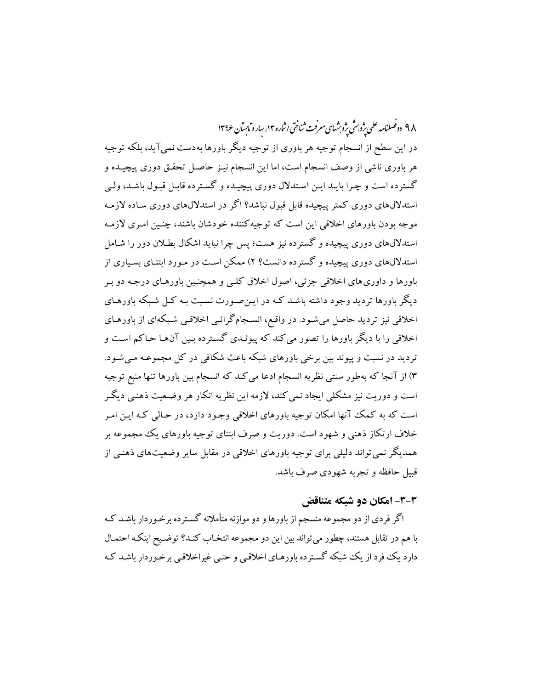۹۸ دوفصلنامه علمی ژوب شی ژوشهای معرفت ثناختی اثباره ۱۴، سارو مایسآن ۱۳۹۶ در این سطح از انسجام توجیه هر باوری از توجیه دیگر باورها بهدست نمیآید، بلکه توجیه هر باوری ناشی از وصف انسجام است، اما این انسجام نیـز حاصـل تحقـق دوری پیچیـده و گسترده است و چـرا بایـد ایـن اسـتدلال دوری پیچیـده و گسـترده قابـل قبـول باشـد، ولـی استدلالهای دوری کمتر پیچیده قابل قبول نباشد؟ اگر در استدلالهای دوری سـاده لازمـه موجه بودن باورهای اخلاقی این است که توجیهکننده خودشان باشند، چنـین امـری لازمـه استدلالهای دوری پیچیده و گسترده نیز هست؛ پس چرا نباید اشکال بطلان دور را شـامل استدلالهای دوری پیچیده و گسترده دانست؟ ۲) ممکن است در مـورد ابتنـای بسـیاری از باورها و داوري هاي اخلاقي جزئي، اصول اخلاق كلبي و همچنـين باورهـاي درجـه دو بـر دیگر باورها تردید وجود داشته باشـد کـه در ایـن۵صورت نسـبت بـه کـل شـبکه باورهـای اخلاقی نیز تردید حاصل میشود. در واقع، انسجامگرائبی اخلاقبی شبکهای از باورهـای اخلاقی را با دیگر باورها را تصور میکند که پیونـدی گسـترده بـین آن هـا حـاکم اسـت و تردید در نسبت و پیوند بین برخی باورهای شبکه باعث شکافی در کل مجموعـه مـی شـود. ۳) از آنجا که بهطور سنتی نظریه انسجام ادعا میکند که انسجام بین باورها تنها منبع توجیه است و دوریت نیز مشکلی ایجاد نمی کند، لازمه این نظریه انکار هر وضـعیت ذهنـی دیگـر است که به کمک آنها امکان توجیه باورهای اخلاقی وجـود دارد، در حـالی کـه ایـن امـر خلاف ارتکاز ذهنی و شهود است. دوریت و صرف ابتنای توجیه باورهای یک مجموعه بر همدیگر نمی تواند دلیلی برای توجیه باورهای اخلاقی در مقابل سایر وضعیتهای ذهنبی از قبیل حافظه و تجربه شهودی صرف باشد.

### ۳-۳- امکان دو شبکه متناقض

اگر فردی از دو مجموعه منسجم از باورها و دو موازنه متأملانه گسـترده برخـوردار باشـد کـه با هم در تقابل هستند، چطور می تواند بین این دو مجموعه انتخـاب کنـد؟ توضـیح اینکـه احتمـال دارد یک فود از یک شبکه گسترده باورهـای اخلاقـی و حتـی غیراخلاقـی برخـوردار باشـد کـه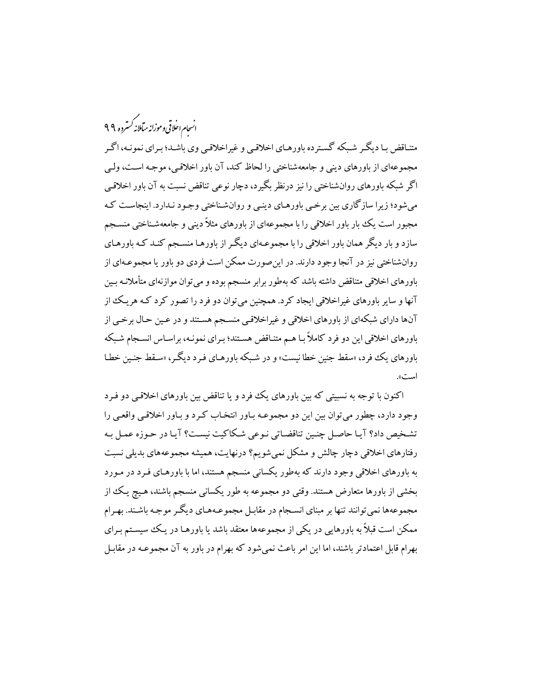.<br>انسحام احلاقی وموزانه میآملانه *کستر*ده ۹۹

متناقض بـا دیگـر شـبکه گسـترده باورهـاي اخلاقـي و غيراخلاقـي وي باشـد؛ بـراي نمونـه، اگـر مجموعهاي از باورهاي ديني و جامعهشناختي را لحاظ كند، آن باور اخلاقي، موجـه اسـت، ولـي اگر شبکه باورهای روانشناختی را نیز درنظر بگیرد، دچار نوعی تناقض نسبت به آن باور اخلاقبی می شود؛ زیرا سازگاری بین برخبی باورهـای دینـی و روانشـناختی وجـود نـدارد. اینجاسـت کـه مجبور است یک بار باور اخلاقی را با مجموعهای از باورهای مثلاً دینی و جامعهشـناختی منسـجم سازد و بار دیگر همان باور اخلاقی را با مجموعـهای دیگـر از باورهـا منسـجم کنـد کـه باورهـای روانشناختی نیز در آنجا وجود دارند. در این صورت ممکن است فردی دو باور یا مجموعـهای از باورهای اخلاقی متناقض داشته باشد که بهطور برابر منسجم بوده و می توان موازنهای متأملانـه بـین آنها و سایر باورهای غیراخلاقی ایجاد کرد. همچنین می توان دو فرد را تصور کرد کـه هریـک از آنها داراي شبكهاي از باورهاي اخلاقي و غيراخلاقي منسجم هستند و در عـين حـال برخـي از باورهای اخلاقی این دو فرد کاملاً بـا هـم متنـاقض هسـتند؛ بـرای نمونـه، براسـاس انسـجام شـبکه باورهای یک فرد، «سقط جنین خطا نیست» و در شبکه باورهـای فـرد دیگـر، «سـقط جنـین خطـا است».

اکنون با توجه به نسبیتی که بین باورهای یک فرد و یا تناقض بین باورهای اخلاقی دو فـرد وجود دارد، چطور می توان بین این دو مجموعـه بـاور انتخـاب کـرد و بـاور اخلاقـی واقعـی را تشخيص داد؟ آيـا حاصـل چنـين تناقضـاتي نـوعي شـكاكيت نيسـت؟ آيـا در حـوزه عمـل بـه رفتارهای اخلاقی دچار چالش و مشکل نمیشویم؟ درنهایت، همیشه مجموعههای بدیلی نسبت به باورهای اخلاقی وجود دارند که بهطور یکسانی منسجم هستند، اما با باورهـای فـرد در مـورد بخشی از باورها متعارض هستند. وقتی دو مجموعه به طور یکسانی منسجم باشند، هـیچ یـک از مجموعهها نمي توانند تنها بر مبناي انسـجام در مقابـل مجموعـههـاي ديگـر موجـه باشـند. بهـرام ممکن است قبلاً به باورهایی در یکی از مجموعهها معتقد باشد یا باورهـا در یـک سیسـتم بـرای بهرام قابل اعتمادتر باشند، اما این امر باعث نمیشود که بهرام در باور به آن مجموعـه در مقابـل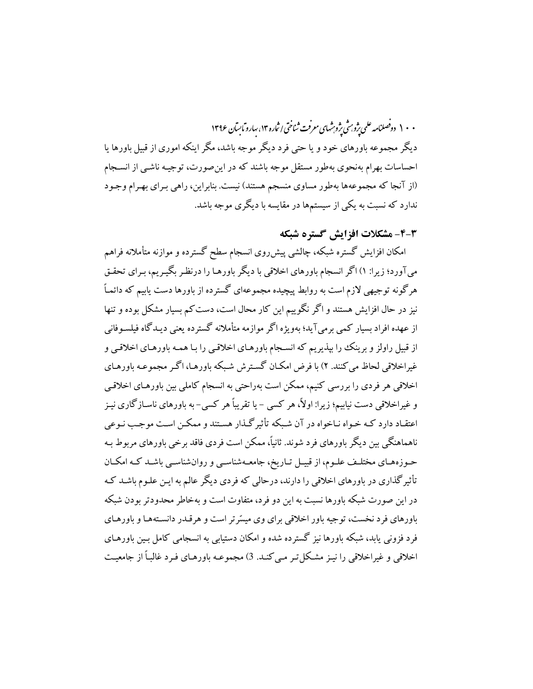۰ ۱۰ دوصلنامه علمی پژوش پژوشهای معرفت ثناختی اثاره ۱۳، سارو مایسآن ۱۳۹۶ دیگر مجموعه باورهای خود و یا حتی فرد دیگر موجه باشد، مگر اینکه اموری از قبیل باورها یا احساسات بهرام بهنحوی بهطور مستقل موجه باشند که در این صورت، توجیـه ناشـی از انســجام (از آنجا که مجموعهها بهطور مساوی منسجم هستند) نیست. بنابراین، راهی بـرای بهـرام وجـود ندارد که نسبت به یکی از سیستمها در مقایسه با دیگری موجه باشد.

## 4-4- مشكلات افزايش گستره شبكه

امکان افزایش گستره شبکه، چالشی پیشرروی انسجام سطح گسترده و موازنه متأملانه فراهم میآورد؛ زیرا: ۱) اگر انسجام باورهای اخلاقی با دیگر باورهـا را درنظـر بگیـریم، بـرای تحقـق هرگونه توجیهی لازم است به روابط پیچیده مجموعهای گسترده از باورها دست یابیم که دائمـاً نیز در حال افزایش هستند و اگر نگوییم این کار محال است، دست کم بسیار مشکل بوده و تنها از عهده افراد بسیار کمبی برمی آید؛ بهویژه اگر موازمه متأملانه گسترده یعنی دیـدگاه فیلسـوفانی از قبیل راولز و برینک را بپذیریم که انسـجام باورهـای اخلاقـی را بـا همـه باورهـای اخلاقـی و غیراخلاقی لحاظ می کنند. ۲) با فرض امکـان گسـترش شـبکه باورهـا، اگـر مجموعـه باورهـای اخلاقی هر فردی را بررسی کنیم، ممکن است بهراحتی به انسجام کاملی بین باورهـای اخلاقـی و غیراخلاقی دست نیابیم؛ زیرا: اولاً، هر کسی – یا تقریباً هر کسی-به باورهای ناسـازگاری نیـز اعتقـاد دارد کـه خـواه نـاخواه در آن شـبکه تأثیر گـذار هسـتند و ممکـن اسـت موجـب نـوعی ناهماهنگی بین دیگر باورهای فرد شوند. ثانیاً، ممکن است فردی فاقد برخی باورهای مربوط بـه حـوزههـاي مختلـف علـوم، از قبيـل تـاريخ، جامعـهشناسـي و روانشناسـي باشـد كـه امكـان تأثیرگذاری در باورهای اخلاقی را دارند، درحالی که فردی دیگر عالم به ایـن علـوم باشـد کـه در این صورت شبکه باورها نسبت به این دو فرد، متفاوت است و بهخاطر محدودتر بودن شبکه باورهای فرد نخست، توجیه باور اخلاقی برای وی میسّرتر است و هرقـدر دانسـتههـا و باورهـای فرد فزونی پابد، شبکه باورها نیز گسترده شده و امکان دستیابی به انسجامی کامل بـین باورهـای اخلاقی و غیراخلاقی را نیـز مشـکل تـر مـی کنـد. 3) مجموعـه باورهـای فـرد غالبـاً از جامعیـت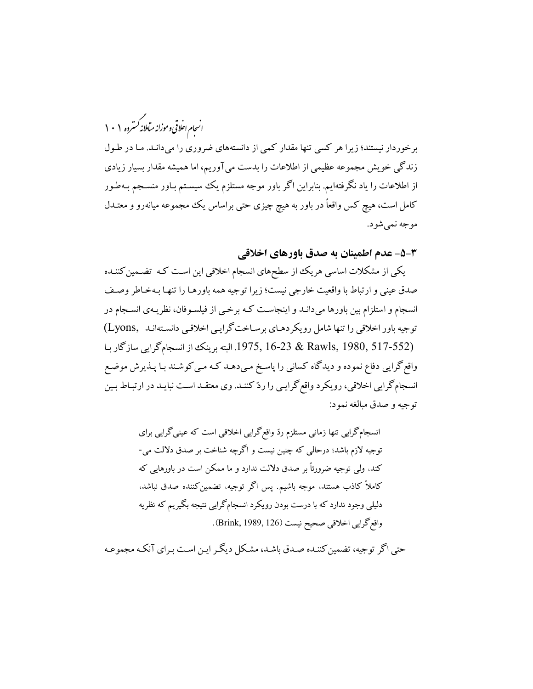.<br>انسحام احلاقی و موزانه میآملانه *کستر*ده ۱۰۱

برخوردار نیستند؛ زیرا هر کسی تنها مقدار کمی از دانستههای ضروری را میدانـد. مـا در طـول زندگی خویش مجموعه عظیمی از اطلاعات را بدست می آوریم، اما همیشه مقدار بسیار زیادی از اطلاعات را یاد نگرفتهایم. بنابراین اگر باور موجه مستلزم یک سیستم بـاور منسـجم بـهطـور کامل است، هیچ کس واقعاً در باور به هیچ چیزی حتی براساس یک مجموعه میانهرو و معتــدل موجه نمي شود.

٣-۵- عدم اطمينان به صدق باورهاي اخلاقي

یکی از مشکلات اساسی هریک از سطحهای انسجام اخلاقی این است کـه تضـمین کننـده صدق عيني و ارتباط با واقعيت خارجي نيست؛ زيرا توجيه همه باورهـا را تنهـا بـهخـاطر وصـف انسجام و استلزام بین باورها میدانـد و اینجاسـت کـه برخـی از فیلسـوفان، نظریـهی انســجام در توجیه باور اخلاقی را تنها شامل رویکردهـای برسـاخت گرایـی اخلاقـی دانسـتهانـد (Lyons) .1975, 16-23 & Rawls, 1980, 517-552. البته برينك از انسجام گرايي سازگار بـا واقع گرایی دفاع نموده و دیدگاه کسانی را پاسخ میدهـد کـه مـی کوشـند بـا پـذیرش موضـع انسجامگرایی اخلاقی، رویکرد واقع گرایـی را ردّ کننـد. وی معتقـد اسـت نبایـد در ارتبـاط بـین توجيه و صدق مبالغه نمود:

> انسجامگرایی تنها زمانی مستلزم ردّ واقع گرایی اخلاقی است که عینی گرایی برای توجيه لازم باشد؛ درحالي كه چنين نيست و اگرچه شناخت بر صدق دلالت مي-کند. ولی توجیه ضرورتاً بر صدق دلالت ندارد و ما ممکن است در باورهایی که كاملاً كاذب هستند، موجه باشيم. پس اگر توجيه، تضمين كننده صدق نباشد. دلیلی وجود ندارد که با درست بودن رویکرد انسجامگرایی نتیجه بگیریم که نظریه واقع گرايي اخلاقي صحيح نيست (126 ,Brink, 1989).

حتی اگر توجیه، تضمین کننـده صـدق باشـد، مشـکل دیگـر ایـن اسـت بـرای آنکـه مجموعـه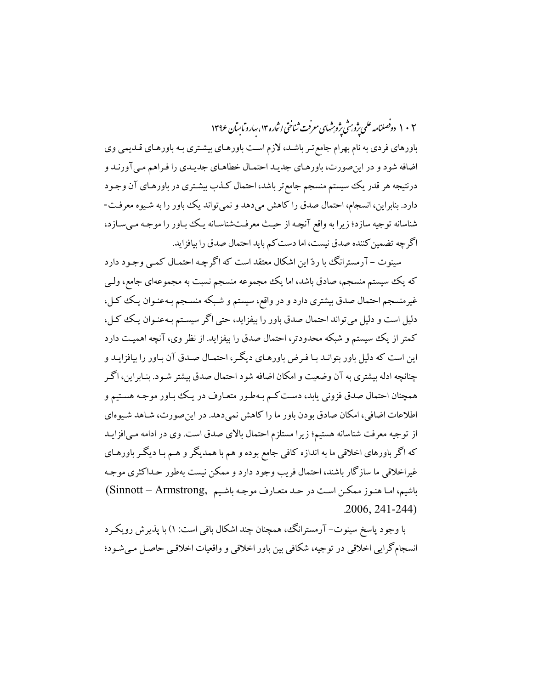۱۰۲ دوفصلنامه علمی یژوبرشی یژوبرشهای معرفت ثناختی اثاره ۱۳، سارو مابسآن ۱۳۹۶

باورهای فردی به نام بهرام جامع تـر باشـد، لازم اسـت باورهـای بیشـتری بـه باورهـای قـدیمی وی اضافه شود و در این صورت، باورهـاي جديـد احتمـال خطاهـاي جديـدي را فـراهم مـي آورنـد و درنتیجه هر قدر یک سیستم منسجم جامع تر باشد، احتمال کـذب بیشـتری در باورهـای آن وجـود دارد. بنابراین، انسجام، احتمال صدق را کاهش میدهد و نمیتواند یک باور را به شـیوه معرفـت-شناسانه توجیه سازد؛ زیرا به واقع آنچـه از حیـث معرفـتشناسـانه یـک بـاور را موجـه مـیسـازد، اگرچه تضمین کننده صدق نیست، اما دست کم باید احتمال صدق را بیافزاید.

سینوت – آرمسترانگ با ردّ این اشکال معتقد است که اگرچـه احتمـال کمـی وجـود دارد که یک سیستم منسجم، صادق باشد، اما یک مجموعه منسجم نسبت به مجموعهای جامع، ولـی غیرمنسجم احتمال صدق بیشتری دارد و در واقع، سیستم و شـبکه منسـجم بـهعنـوان یـک کـل، دلیل است و دلیل می تواند احتمال صدق باور را بیفزاید، حتی اگر سیستم بـهعنـوان یـک کـل، کمتر از یک سیستم و شبکه محدودتر، احتمال صدق را بیفزاید. از نظر وی، آنچه اهمیت دارد این است که دلیل باور بتوانـد بـا فـرض باورهـای دیگـر، احتمـال صـدق آن بـاور را بیافزایـد و چنانچه ادله بیشتری به آن وضعیت و امکان اضافه شود احتمال صدق بیشتر شـود. بنـابراین، اگـر همچنان احتمال صدق فزونی یابد، دسـت کـم بـهطـور متعـارف در یـک بباور موجـه هسـتیم و اطلاعات اضافی، امکان صادق بودن باور ما را کاهش نمیدهد. در این صورت، شـاهد شـیوهای از توجیه معرفت شناسانه هستیم؛ زیرا مستلزم احتمال بالای صدق است. وی در ادامه می افزایـد که اگر باورهای اخلاقی ما به اندازه کافی جامع بوده و هم با همدیگر و هـم بـا دیگـر باورهـای غیراخلاقی ما سازگار باشند، احتمال فریب وجود دارد و ممکن نیست بهطور حـداکثری موجـه باشيم، امـا هنـوز ممكـن اسـت در حـد متعـارف موجـه باشـيم ,Sinnott – Armstrong  $.2006, 241 - 244$ 

با وجود پاسخ سینوت– آرمسترانگ، همچنان چند اشکال باقی است: ۱) با پذیرش رویک د انسجام گرایی اخلاقی در توجیه، شکافی بین باور اخلاقی و واقعیات اخلاقی حاصل می شـود؛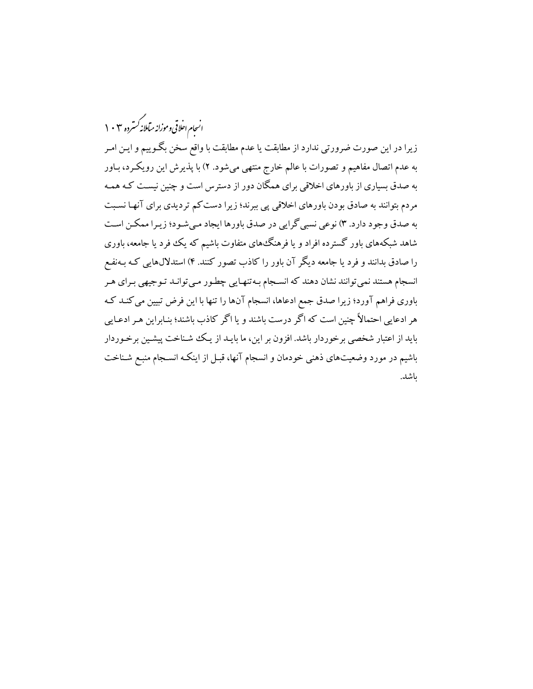.<br>انسجام احلاقی وموزانه میآملانه *گستر*ده ۲۰۲ زیرا در این صورت ضرورتی ندارد از مطابقت یا عدم مطابقت با واقع سخن بگـوییم و ایـن امـر به عدم اتصال مفاهیم و تصورات با عالم خارج منتهی میشود. ۲) با پذیرش این رویکرد، بـاور به صدق بسیاری از باورهای اخلاقی برای همگان دور از دسترس است و چنین نیسـت کـه همـه مردم بتوانند به صادق بودن باورهای اخلاقی یی ببرند؛ زیرا دست کم تردیدی برای آنها نسبت به صدق وجود دارد. ۳) نوعی نسبی گرایی در صدق باورها ایجاد میشود؛ زیـرا ممکـن اسـت شاهد شبکههای باور گسترده افراد و یا فرهنگ های متفاوت باشیم که یک فرد یا جامعه، باوری را صادق بدانند و فرد یا جامعه دیگر آن باور را کاذب تصور کنند. ۴) استدلالهایی کـه بـهنفـع انسجام هستند نمی توانند نشان دهند که انسـجام بـه تنهـایی چطـور مـی توانـد تـوجیهی بـرای هـر باوری فراهم آورد؛ زیرا صدق جمع ادعاها، انسجام آنها را تنها با این فرض تبیین می کنـد کـه هر ادعایی احتمالاً چنین است که اگر درست باشند و یا اگر کاذب باشند؛ بنـابراین هـر ادعـایی باید از اعتبار شخصی برخوردار باشد. افزون بر این، ما بایـد از یـک شـناخت پیشـین برخـوردار باشیم در مورد وضعیتهای ذهنی خودمان و انسجام آنها، قبـل از اینکـه انسـجام منبـع شـناخت ىاشد.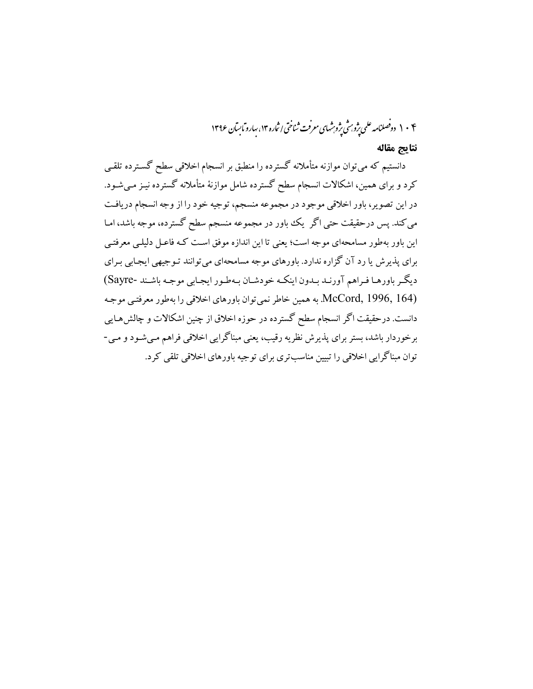۱۰۴ دوفصلنامه علمی پژوبرشی پژوبرشهای معرفت ثناختی اثباره ۱۳، سارو مابسآن ۱۳۹۶

#### نتايج مقاله

دانستیم که میتوان موازنه متأملانه گسترده را منطبق بر انسجام اخلاقی سطح گسـترده تلقـی کرد و برای همین، اشکالات انسجام سطح گسترده شامل موازنهٔ متأملانه گسترده نیـز مـیشـود. در این تصویر، باور اخلاقی موجود در مجموعه منسجم، توجیه خود را از وجه انسجام دریافت می کند. پس درحقیقت حتی اگر یک باور در مجموعه منسجم سطح گسترده، موجه باشد، امـا این باور بهطور مسامحهای موجه است؛ یعنی تا این اندازه موفق است کـه فاعـل دلیلـی معرفتـی برای پذیرش یا رد آن گزاره ندارد. باورهای موجه مسامحهای میتوانند تـوجیهی ایجـابی بـرای ديگر باورهـا فـراهم آورنـد بـدون اينكـه خودشـان بـهطـور ايجـابي موجـه باشـند -Sayre) McCord, 1996, 164). به همين خاطر نمي توان باورهاي اخلاقي را بهطور معرفتبي موجـه دانست. درحقیقت اگر انسجام سطح گسترده در حوزه اخلاق از چنین اشکالات و چالش هـایی برخوردار باشد، بستر براي پذيرش نظريه رقيب، يعني مبناگرايي اخلاقي فراهم مـي شـود و مـي-توان مبناگرایی اخلاقی را تبیین مناسبتری برای توجیه باورهای اخلاقی تلقی کرد.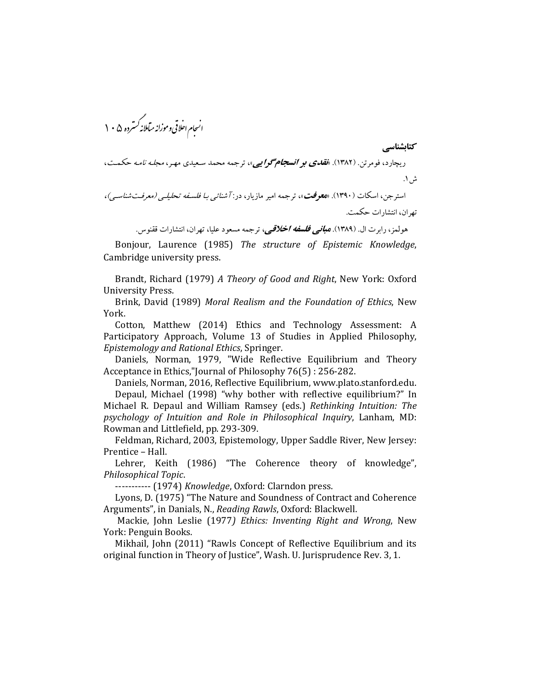.<br>انسجام احلاقی وموزانه میآملانه *کسترد*ه ۱۰۵ كتاىشناسى ریچارد، فومرتن. (۱۳۸۲). ا**نق***دی بر انسجام گرایبی***»،** ترجمه محمد سعیدی مهر، *مجله نامه حک*مت، ش ۱. استرجن، اسکات (۱۳۹۰). «**معوفت**»، ترجمه امیر مازیار، در: *آ شنائبی بـا فلسـفه تحلیلـی (معرفـت شناسـی)،* تهران، انتشارات حكمت.

هولمز، رابرت ال. (۱۳۸۹). **مب***انبي فلسفه اخلاقي،* ترجمه مسعود عليا، تهران، انتشارات ققنوس.

Bonjour, Laurence (1985) The structure of Epistemic Knowledge, Cambridge university press.

Brandt, Richard (1979) A Theory of Good and Right, New York: Oxford University Press.

Brink, David (1989) Moral Realism and the Foundation of Ethics, New York.

Cotton, Matthew (2014) Ethics and Technology Assessment: A Participatory Approach, Volume 13 of Studies in Applied Philosophy, Epistemology and Rational Ethics, Springer.

Daniels, Norman, 1979, "Wide Reflective Equilibrium and Theory Acceptance in Ethics,"[ournal of Philosophy 76(5): 256-282.

Daniels, Norman, 2016, Reflective Equilibrium, www.plato.stanford.edu. Depaul, Michael (1998) "why bother with reflective equilibrium?" In Michael R. Depaul and William Ramsey (eds.) Rethinking Intuition: The psychology of Intuition and Role in Philosophical Inquiry, Lanham, MD: Rowman and Littlefield, pp. 293-309.

Feldman, Richard, 2003, Epistemology, Upper Saddle River, New Jersey: Prentice - Hall.

Lehrer, Keith (1986) "The Coherence theory of knowledge", Philosophical Topic.

----------- (1974) Knowledge, Oxford: Clarndon press.

Lyons, D. (1975) "The Nature and Soundness of Contract and Coherence Arguments", in Danials, N., Reading Rawls, Oxford: Blackwell.

Mackie, John Leslie (1977) Ethics: Inventing Right and Wrong, New York: Penguin Books.

Mikhail, John (2011) "Rawls Concept of Reflective Equilibrium and its original function in Theory of Justice", Wash. U. Jurisprudence Rev. 3, 1.